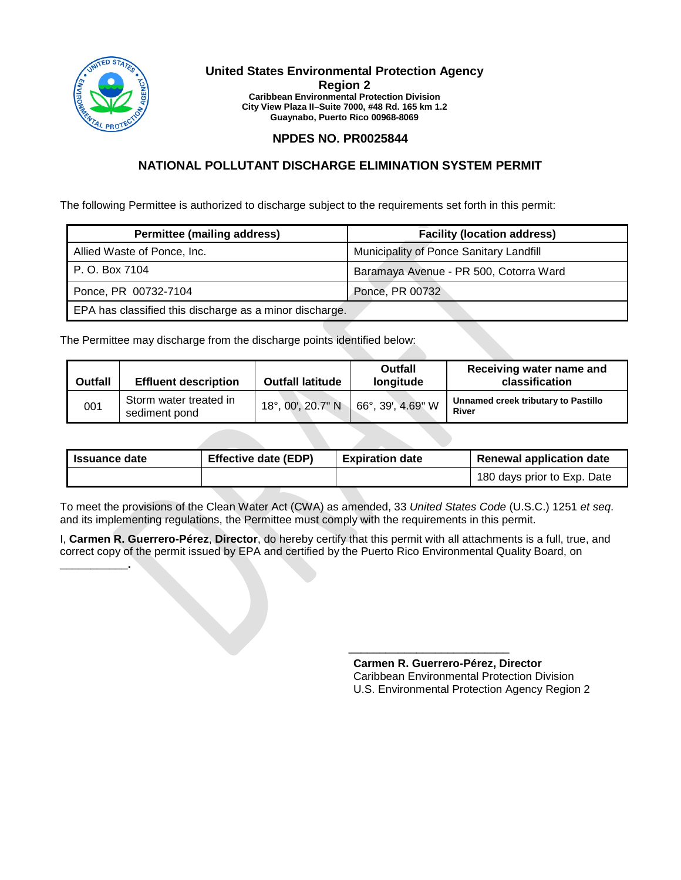

**\_\_\_\_\_\_\_\_\_\_\_.**

#### **United States Environmental Protection Agency Region 2 Caribbean Environmental Protection Division City View Plaza II–Suite 7000, #48 Rd. 165 km 1.2 Guaynabo, Puerto Rico 00968-8069**

## **NPDES NO. PR0025844**

## **NATIONAL POLLUTANT DISCHARGE ELIMINATION SYSTEM PERMIT**

The following Permittee is authorized to discharge subject to the requirements set forth in this permit:

| <b>Permittee (mailing address)</b>                      | <b>Facility (location address)</b>      |
|---------------------------------------------------------|-----------------------------------------|
| Allied Waste of Ponce, Inc.                             | Municipality of Ponce Sanitary Landfill |
| P. O. Box 7104                                          | Baramaya Avenue - PR 500, Cotorra Ward  |
| Ponce, PR 00732-7104                                    | Ponce, PR 00732                         |
| EPA has classified this discharge as a minor discharge. |                                         |

The Permittee may discharge from the discharge points identified below:

| <b>Outfall</b> | <b>Effluent description</b>             | <b>Outfall latitude</b> | Outfall<br>longitude      | Receiving water name and<br>classification   |
|----------------|-----------------------------------------|-------------------------|---------------------------|----------------------------------------------|
| 001            | Storm water treated in<br>sediment pond | 18°, 00', 20.7" N       | $66^\circ$ , 39', 4.69" W | Unnamed creek tributary to Pastillo<br>River |

| <b>Issuance date</b> | <b>Effective date (EDP)</b> | <b>Expiration date</b> | <b>Renewal application date</b> |
|----------------------|-----------------------------|------------------------|---------------------------------|
|                      |                             |                        | 180 days prior to Exp. Date     |

To meet the provisions of the Clean Water Act (CWA) as amended, 33 *United States Code* (U.S.C.) 1251 *et seq*. and its implementing regulations, the Permittee must comply with the requirements in this permit.

I, **Carmen R. Guerrero-Pérez**, **Director**, do hereby certify that this permit with all attachments is a full, true, and correct copy of the permit issued by EPA and certified by the Puerto Rico Environmental Quality Board, on

> **Carmen R. Guerrero-Pérez, Director**  Caribbean Environmental Protection Division U.S. Environmental Protection Agency Region 2

\_\_\_\_\_\_\_\_\_\_\_\_\_\_\_\_\_\_\_\_\_\_\_\_\_\_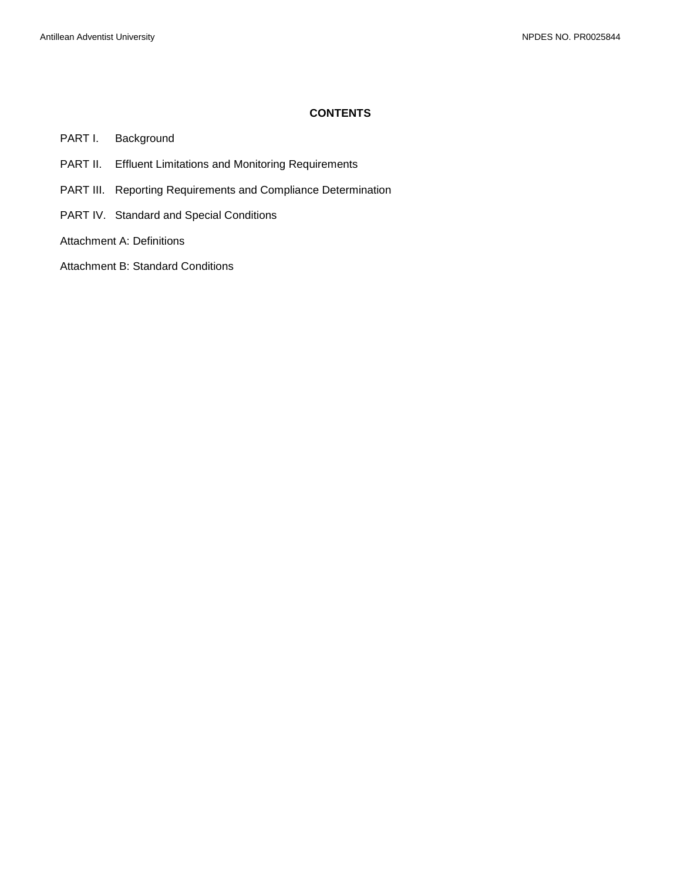#### **CONTENTS**

PART I. [Background](#page-2-0)

- PART II. [Effluent Limitations and Monitoring Requirements](#page-3-0)
- PART III. [Reporting Requirements and Compliance Determination](#page-7-0)
- PART IV. [Standard and Special Conditions](#page-9-0)

[Attachment A: Definitions](#page-13-0)

[Attachment B: Standard Conditions](#page-16-0)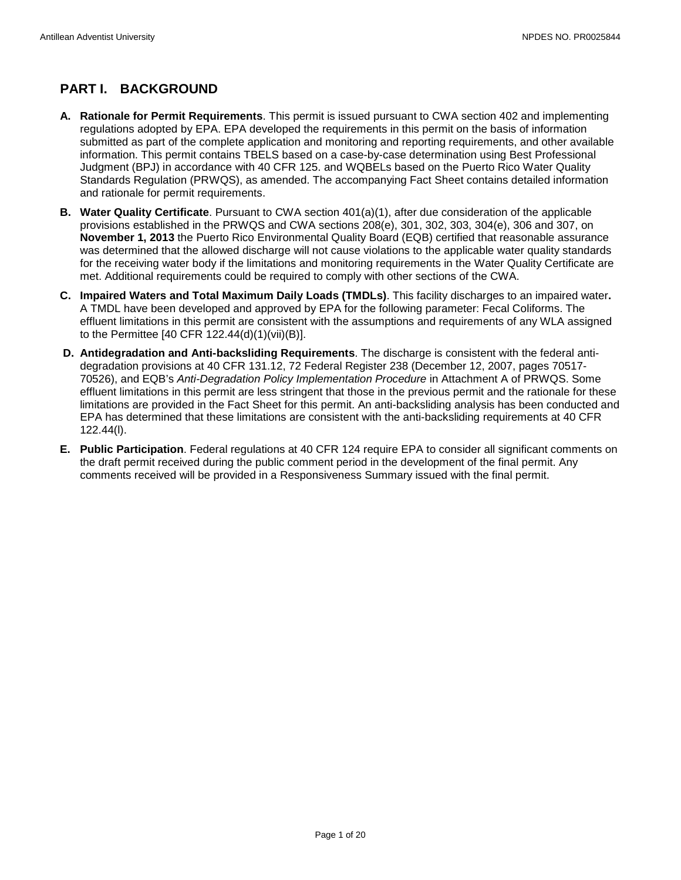# <span id="page-2-0"></span>**PART I. BACKGROUND**

- **A. Rationale for Permit Requirements**. This permit is issued pursuant to CWA section 402 and implementing regulations adopted by EPA. EPA developed the requirements in this permit on the basis of information submitted as part of the complete application and monitoring and reporting requirements, and other available information. This permit contains TBELS based on a case-by-case determination using Best Professional Judgment (BPJ) in accordance with 40 CFR 125. and WQBELs based on the Puerto Rico Water Quality Standards Regulation (PRWQS), as amended. The accompanying Fact Sheet contains detailed information and rationale for permit requirements.
- **B. Water Quality Certificate**. Pursuant to CWA section 401(a)(1), after due consideration of the applicable provisions established in the PRWQS and CWA sections 208(e), 301, 302, 303, 304(e), 306 and 307, on **November 1, 2013** the Puerto Rico Environmental Quality Board (EQB) certified that reasonable assurance was determined that the allowed discharge will not cause violations to the applicable water quality standards for the receiving water body if the limitations and monitoring requirements in the Water Quality Certificate are met. Additional requirements could be required to comply with other sections of the CWA.
- **C. Impaired Waters and Total Maximum Daily Loads (TMDLs)**. This facility discharges to an impaired water**.**  A TMDL have been developed and approved by EPA for the following parameter: Fecal Coliforms. The effluent limitations in this permit are consistent with the assumptions and requirements of any WLA assigned to the Permittee [40 CFR 122.44(d)(1)(vii)(B)].
- **D. Antidegradation and Anti-backsliding Requirements**. The discharge is consistent with the federal antidegradation provisions at 40 CFR 131.12, 72 Federal Register 238 (December 12, 2007, pages 70517- 70526), and EQB's *Anti-Degradation Policy Implementation Procedure* in Attachment A of PRWQS. Some effluent limitations in this permit are less stringent that those in the previous permit and the rationale for these limitations are provided in the Fact Sheet for this permit. An anti-backsliding analysis has been conducted and EPA has determined that these limitations are consistent with the anti-backsliding requirements at 40 CFR 122.44(l).
- **E. Public Participation**. Federal regulations at 40 CFR 124 require EPA to consider all significant comments on the draft permit received during the public comment period in the development of the final permit. Any comments received will be provided in a Responsiveness Summary issued with the final permit.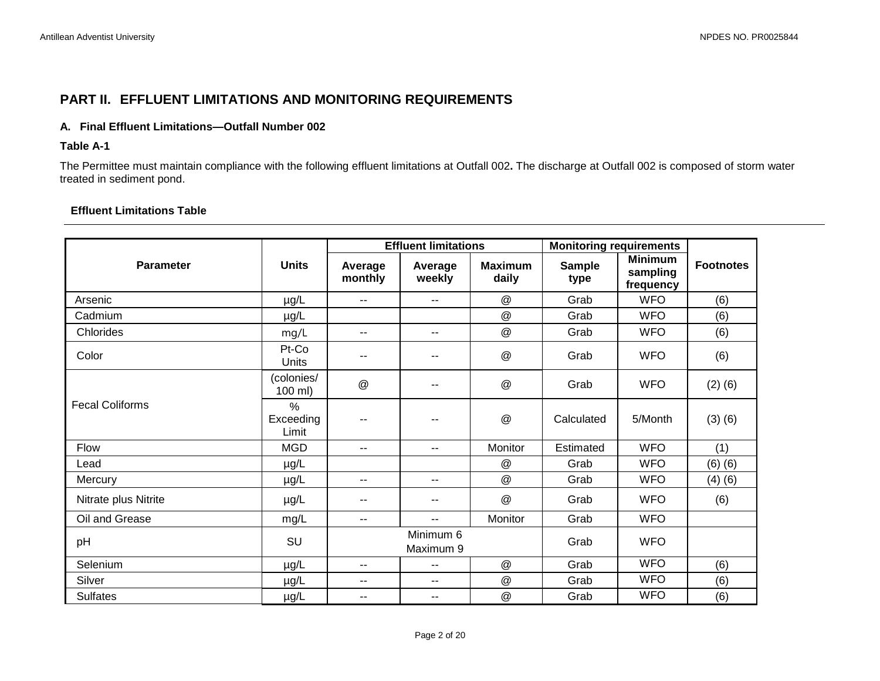## **PART II. EFFLUENT LIMITATIONS AND MONITORING REQUIREMENTS**

## **A. Final Effluent Limitations—Outfall Number 002**

#### **Table A-1**

The Permittee must maintain compliance with the following effluent limitations at Outfall 002**.** The discharge at Outfall 002 is composed of storm water treated in sediment pond.

## **Effluent Limitations Table**

<span id="page-3-0"></span>

|                        |                                     | <b>Effluent limitations</b> |                        |                           | <b>Monitoring requirements</b> |                                         |                  |
|------------------------|-------------------------------------|-----------------------------|------------------------|---------------------------|--------------------------------|-----------------------------------------|------------------|
| <b>Parameter</b>       | <b>Units</b>                        | Average<br>monthly          | Average<br>weekly      | <b>Maximum</b><br>daily   | <b>Sample</b><br>type          | <b>Minimum</b><br>sampling<br>frequency | <b>Footnotes</b> |
| Arsenic                | µg/L                                | $- -$                       | $-$                    | @                         | Grab                           | <b>WFO</b>                              | (6)              |
| Cadmium                | µg/L                                |                             |                        | $^\copyright$             | Grab                           | <b>WFO</b>                              | (6)              |
| Chlorides              | mg/L                                | --                          | $-$                    | $^\text{\textregistered}$ | Grab                           | <b>WFO</b>                              | (6)              |
| Color                  | Pt-Co<br>Units                      | --                          |                        | $^\copyright$             | Grab                           | <b>WFO</b>                              | (6)              |
| <b>Fecal Coliforms</b> | (colonies/<br>$100$ ml)             | @                           |                        | $^\text{\textregistered}$ | Grab                           | <b>WFO</b>                              | $(2)$ $(6)$      |
|                        | $\frac{0}{0}$<br>Exceeding<br>Limit | --                          |                        | $^\text{\textregistered}$ | Calculated                     | 5/Month                                 | (3)(6)           |
| <b>Flow</b>            | <b>MGD</b>                          | --                          | $-1$                   | Monitor                   | Estimated                      | <b>WFO</b>                              | (1)              |
| Lead                   | µg/L                                |                             |                        | $^\text{\textregistered}$ | Grab                           | <b>WFO</b>                              | $(6)$ $(6)$      |
| Mercury                | $\mu$ g/L                           | --                          | $-1$                   | $^\copyright$             | Grab                           | <b>WFO</b>                              | (4)(6)           |
| Nitrate plus Nitrite   | µg/L                                | --                          | --                     | $^\copyright$             | Grab                           | <b>WFO</b>                              | (6)              |
| Oil and Grease         | mg/L                                | --                          | $-$                    | Monitor                   | Grab                           | <b>WFO</b>                              |                  |
| pH                     | SU                                  |                             | Minimum 6<br>Maximum 9 |                           | Grab                           | <b>WFO</b>                              |                  |
| Selenium               | $\mu$ g/L                           | --                          | $-$                    | $^\copyright$             | Grab                           | <b>WFO</b>                              | (6)              |
| Silver                 | $\mu$ g/L                           | --                          | --                     | $^\text{\textregistered}$ | Grab                           | <b>WFO</b>                              | (6)              |
| <b>Sulfates</b>        | $\mu$ g/L                           | --                          | --                     | @                         | Grab                           | <b>WFO</b>                              | (6)              |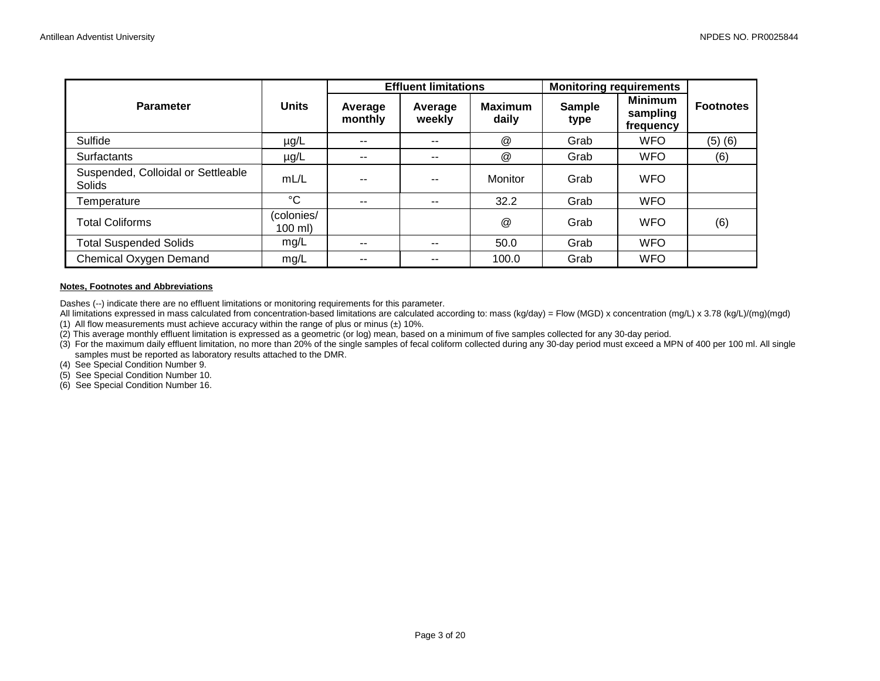|                                              |                         | <b>Effluent limitations</b> |                   |                           | <b>Monitoring requirements</b> |                                         |                  |
|----------------------------------------------|-------------------------|-----------------------------|-------------------|---------------------------|--------------------------------|-----------------------------------------|------------------|
| <b>Parameter</b>                             | <b>Units</b>            | Average<br>monthly          | Average<br>weekly | Maximum<br>daily          | <b>Sample</b><br>type          | <b>Minimum</b><br>sampling<br>frequency | <b>Footnotes</b> |
| Sulfide                                      | $\mu$ g/L               | $- -$                       | $- -$             | $^\text{\textregistered}$ | Grab                           | <b>WFO</b>                              | $(5)$ $(6)$      |
| Surfactants                                  | $\mu$ g/L               | $- -$                       | $- -$             | $^\text{\textregistered}$ | Grab                           | <b>WFO</b>                              | (6)              |
| Suspended, Colloidal or Settleable<br>Solids | mL/L                    |                             |                   | Monitor                   | Grab                           | <b>WFO</b>                              |                  |
| Temperature                                  | °C                      | $- -$                       | --                | 32.2                      | Grab                           | <b>WFO</b>                              |                  |
| <b>Total Coliforms</b>                       | (colonies/<br>$100$ ml) |                             |                   | $^{\textregistered}$      | Grab                           | <b>WFO</b>                              | (6)              |
| <b>Total Suspended Solids</b>                | mg/L                    | $- -$                       | $- -$             | 50.0                      | Grab                           | <b>WFO</b>                              |                  |
| Chemical Oxygen Demand                       | mg/L                    | $- -$                       | --                | 100.0                     | Grab                           | <b>WFO</b>                              |                  |

#### **Notes, Footnotes and Abbreviations**

Dashes (--) indicate there are no effluent limitations or monitoring requirements for this parameter.

All limitations expressed in mass calculated from concentration-based limitations are calculated according to: mass (kg/day) = Flow (MGD) x concentration (mg/L) x 3.78 (kg/L)/(mg)(mgd) (1) All flow measurements must achieve accuracy within the range of plus or minus  $(\pm)$  10%.

(2) This average monthly effluent limitation is expressed as a geometric (or log) mean, based on a minimum of five samples collected for any 30-day period.

(3) For the maximum daily effluent limitation, no more than 20% of the single samples of fecal coliform collected during any 30-day period must exceed a MPN of 400 per 100 ml. All single samples must be reported as laboratory results attached to the DMR.

(4) See Special Condition Number 9.

(5) See Special Condition Number 10.

(6) See Special Condition Number 16.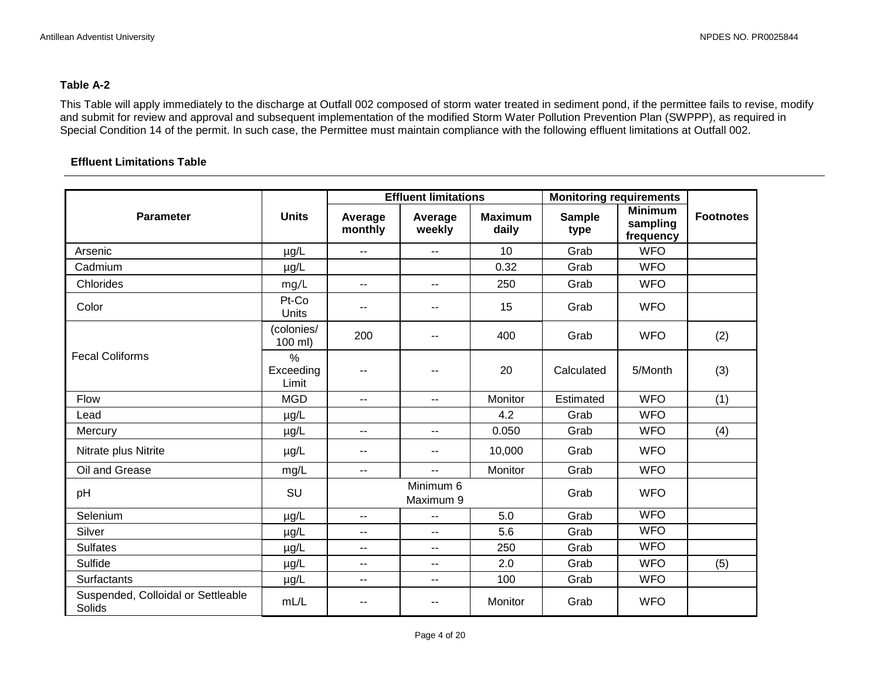### **Table A-2**

This Table will apply immediately to the discharge at Outfall 002 composed of storm water treated in sediment pond, if the permittee fails to revise, modify and submit for review and approval and subsequent implementation of the modified Storm Water Pollution Prevention Plan (SWPPP), as required in Special Condition 14 of the permit. In such case, the Permittee must maintain compliance with the following effluent limitations at Outfall 002.

#### **Effluent Limitations Table**

|                                              |                                     | <b>Effluent limitations</b> |                          |                         | <b>Monitoring requirements</b> |                                         |                  |
|----------------------------------------------|-------------------------------------|-----------------------------|--------------------------|-------------------------|--------------------------------|-----------------------------------------|------------------|
| <b>Parameter</b>                             | <b>Units</b>                        | Average<br>monthly          | Average<br>weekly        | <b>Maximum</b><br>daily | <b>Sample</b><br>type          | <b>Minimum</b><br>sampling<br>frequency | <b>Footnotes</b> |
| Arsenic                                      | µg/L                                | $\overline{\phantom{a}}$    | $\overline{\phantom{a}}$ | 10                      | Grab                           | <b>WFO</b>                              |                  |
| Cadmium                                      | $\mu$ g/L                           |                             |                          | 0.32                    | Grab                           | <b>WFO</b>                              |                  |
| Chlorides                                    | mg/L                                | $\overline{\phantom{a}}$    | $- -$                    | 250                     | Grab                           | <b>WFO</b>                              |                  |
| Color                                        | Pt-Co<br>Units                      | --                          | $-$                      | 15                      | Grab                           | <b>WFO</b>                              |                  |
|                                              | (colonies/<br>100 ml)               | 200                         | $\sim$ $\sim$            | 400                     | Grab                           | <b>WFO</b>                              | (2)              |
| <b>Fecal Coliforms</b>                       | $\frac{0}{0}$<br>Exceeding<br>Limit | --                          |                          | 20                      | Calculated                     | 5/Month                                 | (3)              |
| Flow                                         | <b>MGD</b>                          | $\overline{\phantom{a}}$    | $\overline{\phantom{a}}$ | Monitor                 | Estimated                      | <b>WFO</b>                              | (1)              |
| Lead                                         | $\mu$ g/L                           |                             |                          | 4.2                     | Grab                           | <b>WFO</b>                              |                  |
| Mercury                                      | µg/L                                | --                          | $\sim$ $\sim$            | 0.050                   | Grab                           | <b>WFO</b>                              | (4)              |
| Nitrate plus Nitrite                         | $\mu$ g/L                           | --                          | $\overline{\phantom{m}}$ | 10,000                  | Grab                           | <b>WFO</b>                              |                  |
| Oil and Grease                               | mg/L                                | $\overline{\phantom{a}}$    | $\overline{a}$           | Monitor                 | Grab                           | <b>WFO</b>                              |                  |
| pH                                           | SU                                  |                             | Minimum 6<br>Maximum 9   |                         | Grab                           | <b>WFO</b>                              |                  |
| Selenium                                     | µg/L                                | $\overline{\phantom{a}}$    | $-$                      | 5.0                     | Grab                           | <b>WFO</b>                              |                  |
| Silver                                       | µg/L                                | $\overline{\phantom{a}}$    | $-$                      | 5.6                     | Grab                           | <b>WFO</b>                              |                  |
| <b>Sulfates</b>                              | $\mu$ g/L                           | $\overline{\phantom{a}}$    | $\overline{\phantom{a}}$ | 250                     | Grab                           | <b>WFO</b>                              |                  |
| Sulfide                                      | $\mu$ g/L                           | $\overline{\phantom{a}}$    | $\overline{\phantom{a}}$ | 2.0                     | Grab                           | <b>WFO</b>                              | (5)              |
| Surfactants                                  | $\mu$ g/L                           | $- -$                       | $\sim$ $\sim$            | 100                     | Grab                           | <b>WFO</b>                              |                  |
| Suspended, Colloidal or Settleable<br>Solids | mL/L                                | $- -$                       | $-$                      | Monitor                 | Grab                           | <b>WFO</b>                              |                  |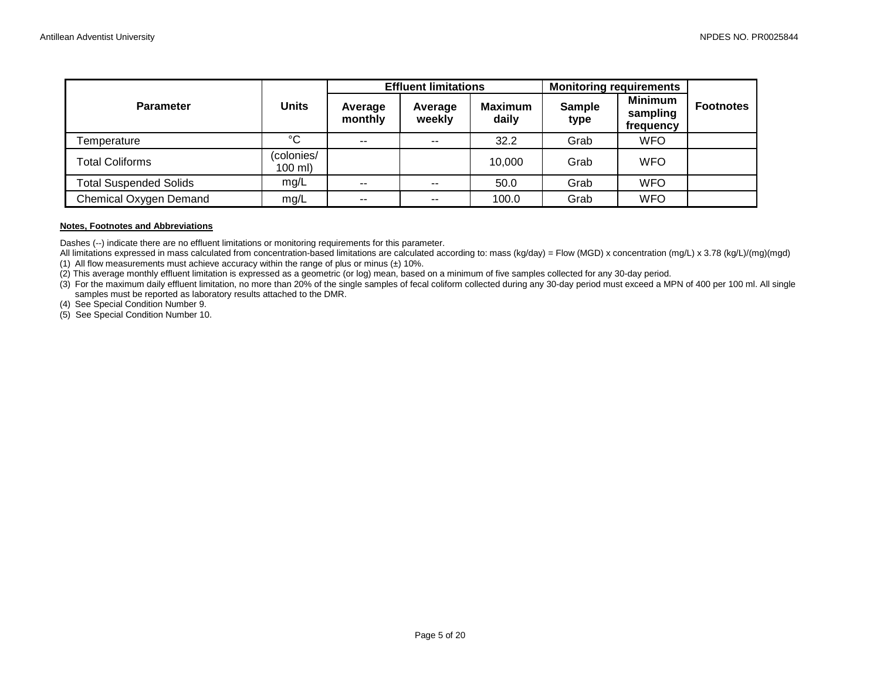|                               |                        | <b>Effluent limitations</b> |                   |                         | <b>Monitoring requirements</b> |                                         |                  |
|-------------------------------|------------------------|-----------------------------|-------------------|-------------------------|--------------------------------|-----------------------------------------|------------------|
| <b>Parameter</b>              | <b>Units</b>           | Average<br>monthly          | Average<br>weekly | <b>Maximum</b><br>daily | <b>Sample</b><br>type          | <b>Minimum</b><br>sampling<br>frequency | <b>Footnotes</b> |
| Temperature                   | °C                     | $- -$                       | --                | 32.2                    | Grab                           | <b>WFO</b>                              |                  |
| Total Coliforms               | colonies/<br>$100$ ml) |                             |                   | 10.000                  | Grab                           | <b>WFO</b>                              |                  |
| <b>Total Suspended Solids</b> | mq/L                   | $- -$                       | --                | 50.0                    | Grab                           | <b>WFO</b>                              |                  |
| Chemical Oxygen Demand        | mg/L                   | --                          | $- -$             | 100.0                   | Grab                           | <b>WFO</b>                              |                  |

#### **Notes, Footnotes and Abbreviations**

Dashes (--) indicate there are no effluent limitations or monitoring requirements for this parameter.

All limitations expressed in mass calculated from concentration-based limitations are calculated according to: mass (kg/day) = Flow (MGD) x concentration (mg/L) x 3.78 (kg/L)/(mg)(mgd) (1) All flow measurements must achieve accuracy within the range of plus or minus  $(\pm)$  10%.

(2) This average monthly effluent limitation is expressed as a geometric (or log) mean, based on a minimum of five samples collected for any 30-day period.

(3) For the maximum daily effluent limitation, no more than 20% of the single samples of fecal coliform collected during any 30-day period must exceed a MPN of 400 per 100 ml. All single samples must be reported as laboratory results attached to the DMR.

(4) See Special Condition Number 9.

(5) See Special Condition Number 10.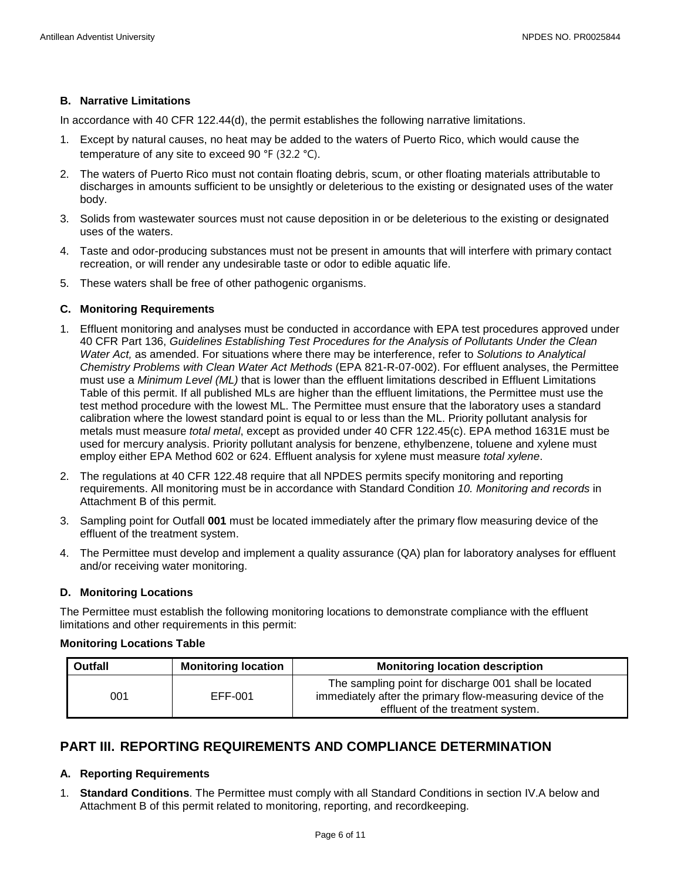### **B. Narrative Limitations**

In accordance with 40 CFR 122.44(d), the permit establishes the following narrative limitations.

- 1. Except by natural causes, no heat may be added to the waters of Puerto Rico, which would cause the temperature of any site to exceed 90 °F (32.2 °C).
- 2. The waters of Puerto Rico must not contain floating debris, scum, or other floating materials attributable to discharges in amounts sufficient to be unsightly or deleterious to the existing or designated uses of the water body.
- 3. Solids from wastewater sources must not cause deposition in or be deleterious to the existing or designated uses of the waters.
- 4. Taste and odor-producing substances must not be present in amounts that will interfere with primary contact recreation, or will render any undesirable taste or odor to edible aquatic life.
- 5. These waters shall be free of other pathogenic organisms.

## **C. Monitoring Requirements**

- 1. Effluent monitoring and analyses must be conducted in accordance with EPA test procedures approved under 40 CFR Part 136, *Guidelines Establishing Test Procedures for the Analysis of Pollutants Under the Clean Water Act,* as amended. For situations where there may be interference, refer to *Solutions to Analytical Chemistry Problems with Clean Water Act Methods* (EPA 821-R-07-002). For effluent analyses, the Permittee must use a *Minimum Level (ML)* that is lower than the effluent limitations described in Effluent Limitations Table of this permit. If all published MLs are higher than the effluent limitations, the Permittee must use the test method procedure with the lowest ML. The Permittee must ensure that the laboratory uses a standard calibration where the lowest standard point is equal to or less than the ML. Priority pollutant analysis for metals must measure *total metal*, except as provided under 40 CFR 122.45(c). EPA method 1631E must be used for mercury analysis. Priority pollutant analysis for benzene, ethylbenzene, toluene and xylene must employ either EPA Method 602 or 624. Effluent analysis for xylene must measure *total xylene*.
- 2. The regulations at 40 CFR 122.48 require that all NPDES permits specify monitoring and reporting requirements. All monitoring must be in accordance with Standard Condition *10. Monitoring and records* in Attachment B of this permit.
- 3. Sampling point for Outfall **001** must be located immediately after the primary flow measuring device of the effluent of the treatment system.
- 4. The Permittee must develop and implement a quality assurance (QA) plan for laboratory analyses for effluent and/or receiving water monitoring.

#### **D. Monitoring Locations**

The Permittee must establish the following monitoring locations to demonstrate compliance with the effluent limitations and other requirements in this permit:

#### **Monitoring Locations Table**

| <b>Outfall</b> | <b>Monitoring location</b> | <b>Monitoring location description</b>                                                                                                                   |
|----------------|----------------------------|----------------------------------------------------------------------------------------------------------------------------------------------------------|
| 001            | EFF-001                    | The sampling point for discharge 001 shall be located<br>immediately after the primary flow-measuring device of the<br>effluent of the treatment system. |

## <span id="page-7-0"></span>**PART III. REPORTING REQUIREMENTS AND COMPLIANCE DETERMINATION**

## **A. Reporting Requirements**

1. **Standard Conditions**. The Permittee must comply with all Standard Conditions in section IV.A below and Attachment B of this permit related to monitoring, reporting, and recordkeeping.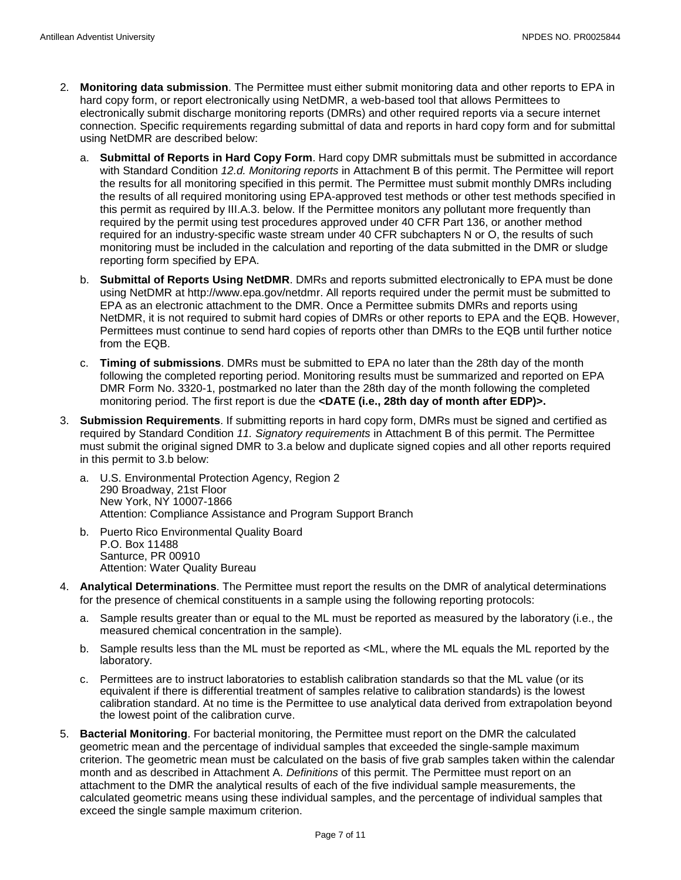- 2. **Monitoring data submission**. The Permittee must either submit monitoring data and other reports to EPA in hard copy form, or report electronically using NetDMR, a web-based tool that allows Permittees to electronically submit discharge monitoring reports (DMRs) and other required reports via a secure internet connection. Specific requirements regarding submittal of data and reports in hard copy form and for submittal using NetDMR are described below:
	- a. **Submittal of Reports in Hard Copy Form**. Hard copy DMR submittals must be submitted in accordance with Standard Condition *12.d. Monitoring reports* in Attachment B of this permit. The Permittee will report the results for all monitoring specified in this permit. The Permittee must submit monthly DMRs including the results of all required monitoring using EPA-approved test methods or other test methods specified in this permit as required by III.A.3. below. If the Permittee monitors any pollutant more frequently than required by the permit using test procedures approved under 40 CFR Part 136, or another method required for an industry-specific waste stream under 40 CFR subchapters N or O, the results of such monitoring must be included in the calculation and reporting of the data submitted in the DMR or sludge reporting form specified by EPA.
	- b. **Submittal of Reports Using NetDMR**. DMRs and reports submitted electronically to EPA must be done using NetDMR at http://www.epa.gov/netdmr. All reports required under the permit must be submitted to EPA as an electronic attachment to the DMR. Once a Permittee submits DMRs and reports using NetDMR, it is not required to submit hard copies of DMRs or other reports to EPA and the EQB. However, Permittees must continue to send hard copies of reports other than DMRs to the EQB until further notice from the EQB.
	- c. **Timing of submissions**. DMRs must be submitted to EPA no later than the 28th day of the month following the completed reporting period. Monitoring results must be summarized and reported on EPA DMR Form No. 3320-1, postmarked no later than the 28th day of the month following the completed monitoring period. The first report is due the **<DATE (i.e., 28th day of month after EDP)>.**
- 3. **Submission Requirements**. If submitting reports in hard copy form, DMRs must be signed and certified as required by Standard Condition *11. Signatory requirements* in Attachment B of this permit. The Permittee must submit the original signed DMR to 3.a below and duplicate signed copies and all other reports required in this permit to 3.b below:
	- a. U.S. Environmental Protection Agency, Region 2 290 Broadway, 21st Floor New York, NY 10007-1866 Attention: Compliance Assistance and Program Support Branch
	- b. Puerto Rico Environmental Quality Board P.O. Box 11488 Santurce, PR 00910 Attention: Water Quality Bureau
- 4. **Analytical Determinations**. The Permittee must report the results on the DMR of analytical determinations for the presence of chemical constituents in a sample using the following reporting protocols:
	- a. Sample results greater than or equal to the ML must be reported as measured by the laboratory (i.e., the measured chemical concentration in the sample).
	- b. Sample results less than the ML must be reported as <ML, where the ML equals the ML reported by the laboratory.
	- c. Permittees are to instruct laboratories to establish calibration standards so that the ML value (or its equivalent if there is differential treatment of samples relative to calibration standards) is the lowest calibration standard. At no time is the Permittee to use analytical data derived from extrapolation beyond the lowest point of the calibration curve.
- 5. **Bacterial Monitoring**. For bacterial monitoring, the Permittee must report on the DMR the calculated geometric mean and the percentage of individual samples that exceeded the single-sample maximum criterion. The geometric mean must be calculated on the basis of five grab samples taken within the calendar month and as described in Attachment A. *Definitions* of this permit. The Permittee must report on an attachment to the DMR the analytical results of each of the five individual sample measurements, the calculated geometric means using these individual samples, and the percentage of individual samples that exceed the single sample maximum criterion.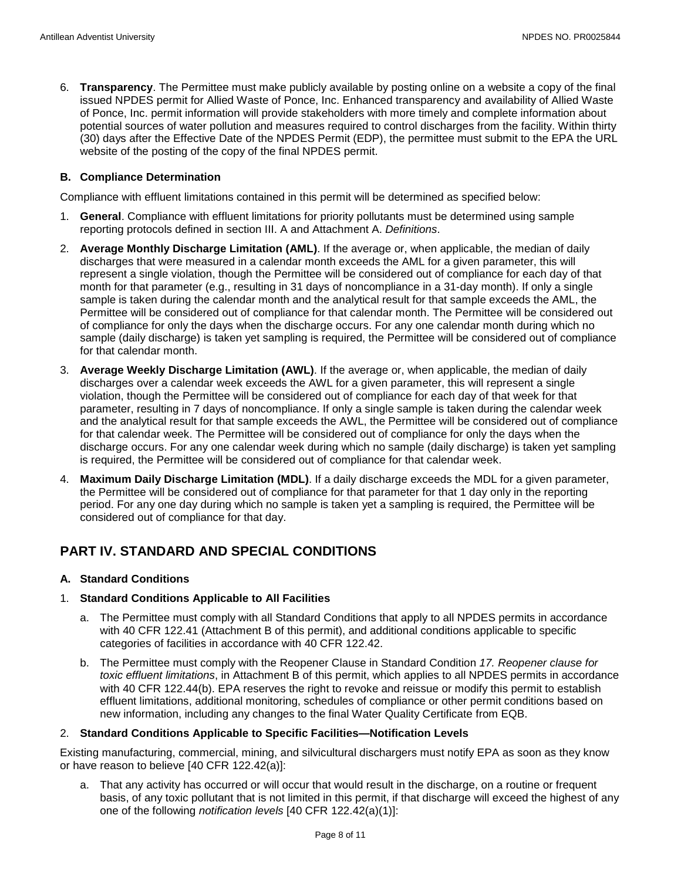6. **Transparency**. The Permittee must make publicly available by posting online on a website a copy of the final issued NPDES permit for Allied Waste of Ponce, Inc. Enhanced transparency and availability of Allied Waste of Ponce, Inc. permit information will provide stakeholders with more timely and complete information about potential sources of water pollution and measures required to control discharges from the facility. Within thirty (30) days after the Effective Date of the NPDES Permit (EDP), the permittee must submit to the EPA the URL website of the posting of the copy of the final NPDES permit.

#### **B. Compliance Determination**

Compliance with effluent limitations contained in this permit will be determined as specified below:

- 1. **General**. Compliance with effluent limitations for priority pollutants must be determined using sample reporting protocols defined in section III. A and Attachment A. *Definitions*.
- 2. **Average Monthly Discharge Limitation (AML)**. If the average or, when applicable, the median of daily discharges that were measured in a calendar month exceeds the AML for a given parameter, this will represent a single violation, though the Permittee will be considered out of compliance for each day of that month for that parameter (e.g., resulting in 31 days of noncompliance in a 31-day month). If only a single sample is taken during the calendar month and the analytical result for that sample exceeds the AML, the Permittee will be considered out of compliance for that calendar month. The Permittee will be considered out of compliance for only the days when the discharge occurs. For any one calendar month during which no sample (daily discharge) is taken yet sampling is required, the Permittee will be considered out of compliance for that calendar month.
- 3. **Average Weekly Discharge Limitation (AWL)**. If the average or, when applicable, the median of daily discharges over a calendar week exceeds the AWL for a given parameter, this will represent a single violation, though the Permittee will be considered out of compliance for each day of that week for that parameter, resulting in 7 days of noncompliance. If only a single sample is taken during the calendar week and the analytical result for that sample exceeds the AWL, the Permittee will be considered out of compliance for that calendar week. The Permittee will be considered out of compliance for only the days when the discharge occurs. For any one calendar week during which no sample (daily discharge) is taken yet sampling is required, the Permittee will be considered out of compliance for that calendar week.
- 4. **Maximum Daily Discharge Limitation (MDL)**. If a daily discharge exceeds the MDL for a given parameter, the Permittee will be considered out of compliance for that parameter for that 1 day only in the reporting period. For any one day during which no sample is taken yet a sampling is required, the Permittee will be considered out of compliance for that day.

## <span id="page-9-0"></span>**PART IV. STANDARD AND SPECIAL CONDITIONS**

#### **A. Standard Conditions**

#### 1. **Standard Conditions Applicable to All Facilities**

- a. The Permittee must comply with all Standard Conditions that apply to all NPDES permits in accordance with 40 CFR 122.41 (Attachment B of this permit), and additional conditions applicable to specific categories of facilities in accordance with 40 CFR 122.42.
- b. The Permittee must comply with the Reopener Clause in Standard Condition *17. Reopener clause for toxic effluent limitations*, in Attachment B of this permit, which applies to all NPDES permits in accordance with 40 CFR 122.44(b). EPA reserves the right to revoke and reissue or modify this permit to establish effluent limitations, additional monitoring, schedules of compliance or other permit conditions based on new information, including any changes to the final Water Quality Certificate from EQB.

#### 2. **Standard Conditions Applicable to Specific Facilities—Notification Levels**

Existing manufacturing, commercial, mining, and silvicultural dischargers must notify EPA as soon as they know or have reason to believe [40 CFR 122.42(a)]:

a. That any activity has occurred or will occur that would result in the discharge, on a routine or frequent basis, of any toxic pollutant that is not limited in this permit, if that discharge will exceed the highest of any one of the following *notification levels* [40 CFR 122.42(a)(1)]: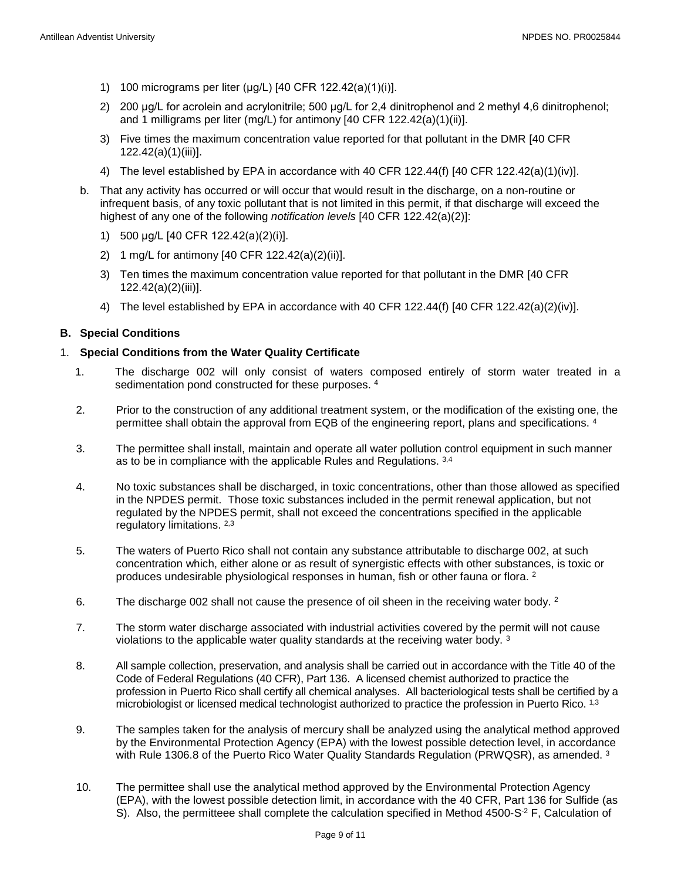- 1) 100 micrograms per liter (μg/L) [40 CFR 122.42(a)(1)(i)].
- 2) 200 μg/L for acrolein and acrylonitrile; 500 μg/L for 2,4 dinitrophenol and 2 methyl 4,6 dinitrophenol; and 1 milligrams per liter (mg/L) for antimony [40 CFR 122.42(a)(1)(ii)].
- 3) Five times the maximum concentration value reported for that pollutant in the DMR [40 CFR 122.42(a)(1)(iii)].
- 4) The level established by EPA in accordance with 40 CFR 122.44(f) [40 CFR 122.42(a)(1)(iv)].
- b. That any activity has occurred or will occur that would result in the discharge, on a non-routine or infrequent basis, of any toxic pollutant that is not limited in this permit, if that discharge will exceed the highest of any one of the following *notification levels* [40 CFR 122.42(a)(2)]:
	- 1) 500 μg/L [40 CFR 122.42(a)(2)(i)].
	- 2) 1 mg/L for antimony [40 CFR 122.42(a)(2)(ii)].
	- 3) Ten times the maximum concentration value reported for that pollutant in the DMR [40 CFR 122.42(a)(2)(iii)].
	- 4) The level established by EPA in accordance with 40 CFR 122.44(f) [40 CFR 122.42(a)(2)(iv)].

#### **B. Special Conditions**

#### 1. **Special Conditions from the Water Quality Certificate**

- 1. The discharge 002 will only consist of waters composed entirely of storm water treated in a sedimentation pond constructed for these purposes. 4
- 2. Prior to the construction of any additional treatment system, or the modification of the existing one, the permittee shall obtain the approval from EQB of the engineering report, plans and specifications. 4
- 3. The permittee shall install, maintain and operate all water pollution control equipment in such manner as to be in compliance with the applicable Rules and Regulations. 3,4
- 4. No toxic substances shall be discharged, in toxic concentrations, other than those allowed as specified in the NPDES permit. Those toxic substances included in the permit renewal application, but not regulated by the NPDES permit, shall not exceed the concentrations specified in the applicable regulatory limitations. 2,3
- 5. The waters of Puerto Rico shall not contain any substance attributable to discharge 002, at such concentration which, either alone or as result of synergistic effects with other substances, is toxic or produces undesirable physiological responses in human, fish or other fauna or flora. 2
- 6. The discharge 002 shall not cause the presence of oil sheen in the receiving water body. <sup>2</sup>
- 7. The storm water discharge associated with industrial activities covered by the permit will not cause violations to the applicable water quality standards at the receiving water body. 3
- 8. All sample collection, preservation, and analysis shall be carried out in accordance with the Title 40 of the Code of Federal Regulations (40 CFR), Part 136. A licensed chemist authorized to practice the profession in Puerto Rico shall certify all chemical analyses. All bacteriological tests shall be certified by a microbiologist or licensed medical technologist authorized to practice the profession in Puerto Rico. 1,3
- 9. The samples taken for the analysis of mercury shall be analyzed using the analytical method approved by the Environmental Protection Agency (EPA) with the lowest possible detection level, in accordance with Rule 1306.8 of the Puerto Rico Water Quality Standards Regulation (PRWQSR), as amended.  $3$
- 10. The permittee shall use the analytical method approved by the Environmental Protection Agency (EPA), with the lowest possible detection limit, in accordance with the 40 CFR, Part 136 for Sulfide (as S). Also, the permitteee shall complete the calculation specified in Method  $4500-S<sup>2</sup>$  F, Calculation of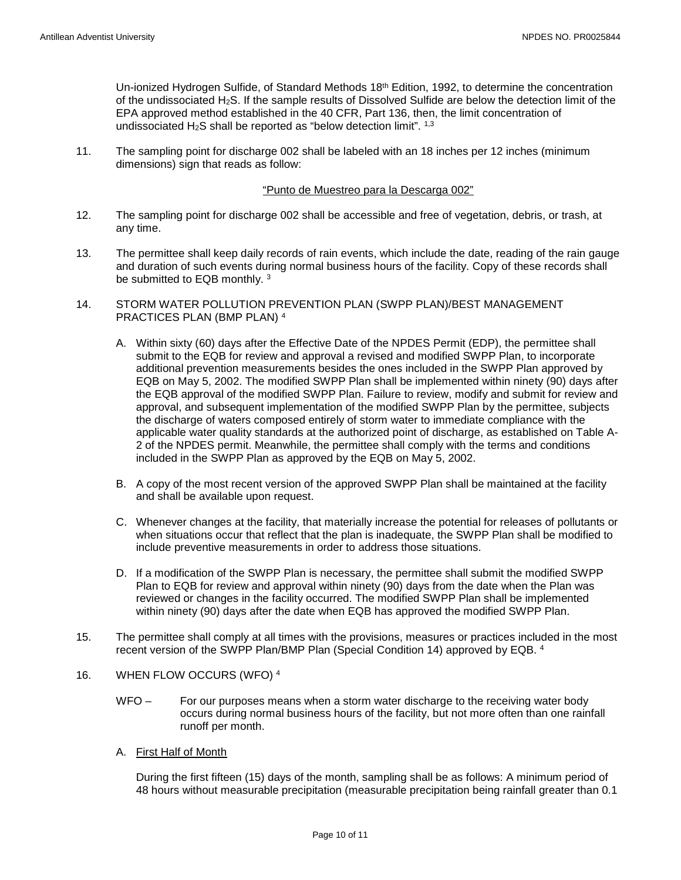Un-ionized Hydrogen Sulfide, of Standard Methods 18<sup>th</sup> Edition, 1992, to determine the concentration of the undissociated H2S. If the sample results of Dissolved Sulfide are below the detection limit of the EPA approved method established in the 40 CFR, Part 136, then, the limit concentration of undissociated  $H_2S$  shall be reported as "below detection limit".  $1,3$ 

11. The sampling point for discharge 002 shall be labeled with an 18 inches per 12 inches (minimum dimensions) sign that reads as follow:

#### "Punto de Muestreo para la Descarga 002"

- 12. The sampling point for discharge 002 shall be accessible and free of vegetation, debris, or trash, at any time.
- 13. The permittee shall keep daily records of rain events, which include the date, reading of the rain gauge and duration of such events during normal business hours of the facility. Copy of these records shall be submitted to EQB monthly.<sup>3</sup>
- 14. STORM WATER POLLUTION PREVENTION PLAN (SWPP PLAN)/BEST MANAGEMENT PRACTICES PLAN (BMP PLAN) 4
	- A. Within sixty (60) days after the Effective Date of the NPDES Permit (EDP), the permittee shall submit to the EQB for review and approval a revised and modified SWPP Plan, to incorporate additional prevention measurements besides the ones included in the SWPP Plan approved by EQB on May 5, 2002. The modified SWPP Plan shall be implemented within ninety (90) days after the EQB approval of the modified SWPP Plan. Failure to review, modify and submit for review and approval, and subsequent implementation of the modified SWPP Plan by the permittee, subjects the discharge of waters composed entirely of storm water to immediate compliance with the applicable water quality standards at the authorized point of discharge, as established on Table A-2 of the NPDES permit. Meanwhile, the permittee shall comply with the terms and conditions included in the SWPP Plan as approved by the EQB on May 5, 2002.
	- B. A copy of the most recent version of the approved SWPP Plan shall be maintained at the facility and shall be available upon request.
	- C. Whenever changes at the facility, that materially increase the potential for releases of pollutants or when situations occur that reflect that the plan is inadequate, the SWPP Plan shall be modified to include preventive measurements in order to address those situations.
	- D. If a modification of the SWPP Plan is necessary, the permittee shall submit the modified SWPP Plan to EQB for review and approval within ninety (90) days from the date when the Plan was reviewed or changes in the facility occurred. The modified SWPP Plan shall be implemented within ninety (90) days after the date when EQB has approved the modified SWPP Plan.
- 15. The permittee shall comply at all times with the provisions, measures or practices included in the most recent version of the SWPP Plan/BMP Plan (Special Condition 14) approved by EQB. 4
- 16. WHEN FLOW OCCURS (WFO) <sup>4</sup>
	- WFO For our purposes means when a storm water discharge to the receiving water body occurs during normal business hours of the facility, but not more often than one rainfall runoff per month.
	- A. First Half of Month

During the first fifteen (15) days of the month, sampling shall be as follows: A minimum period of 48 hours without measurable precipitation (measurable precipitation being rainfall greater than 0.1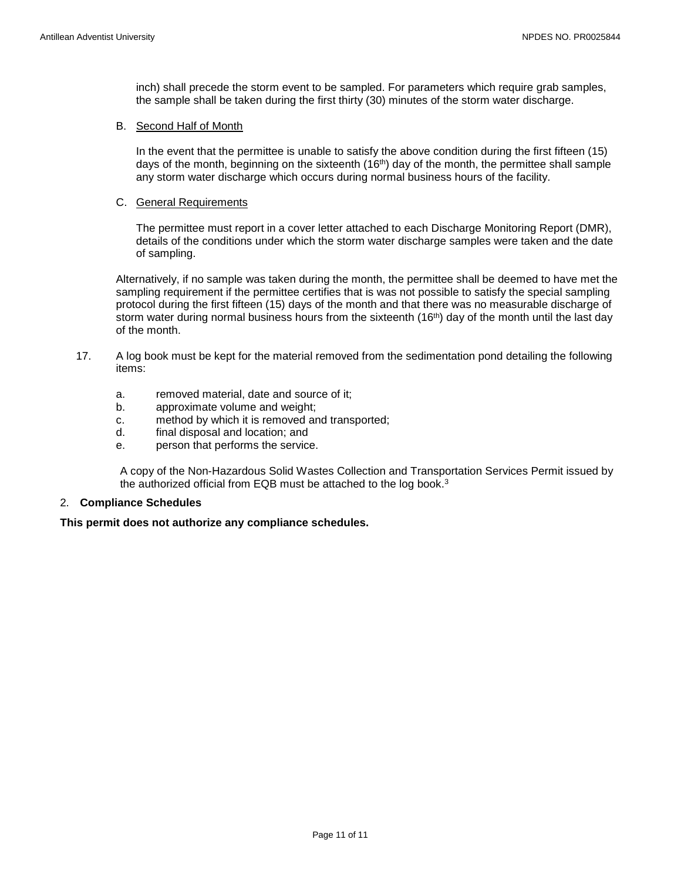inch) shall precede the storm event to be sampled. For parameters which require grab samples, the sample shall be taken during the first thirty (30) minutes of the storm water discharge.

#### B. Second Half of Month

In the event that the permittee is unable to satisfy the above condition during the first fifteen (15) days of the month, beginning on the sixteenth (16<sup>th</sup>) day of the month, the permittee shall sample any storm water discharge which occurs during normal business hours of the facility.

#### C. General Requirements

The permittee must report in a cover letter attached to each Discharge Monitoring Report (DMR), details of the conditions under which the storm water discharge samples were taken and the date of sampling.

Alternatively, if no sample was taken during the month, the permittee shall be deemed to have met the sampling requirement if the permittee certifies that is was not possible to satisfy the special sampling protocol during the first fifteen (15) days of the month and that there was no measurable discharge of storm water during normal business hours from the sixteenth (16<sup>th</sup>) day of the month until the last day of the month.

- 17. A log book must be kept for the material removed from the sedimentation pond detailing the following items:
	- a. removed material, date and source of it;
	- b. approximate volume and weight;
	- c. method by which it is removed and transported;
	- d. final disposal and location; and
	- e. person that performs the service.

A copy of the Non-Hazardous Solid Wastes Collection and Transportation Services Permit issued by the authorized official from EQB must be attached to the log book.3

#### 2. **Compliance Schedules**

#### **This permit does not authorize any compliance schedules.**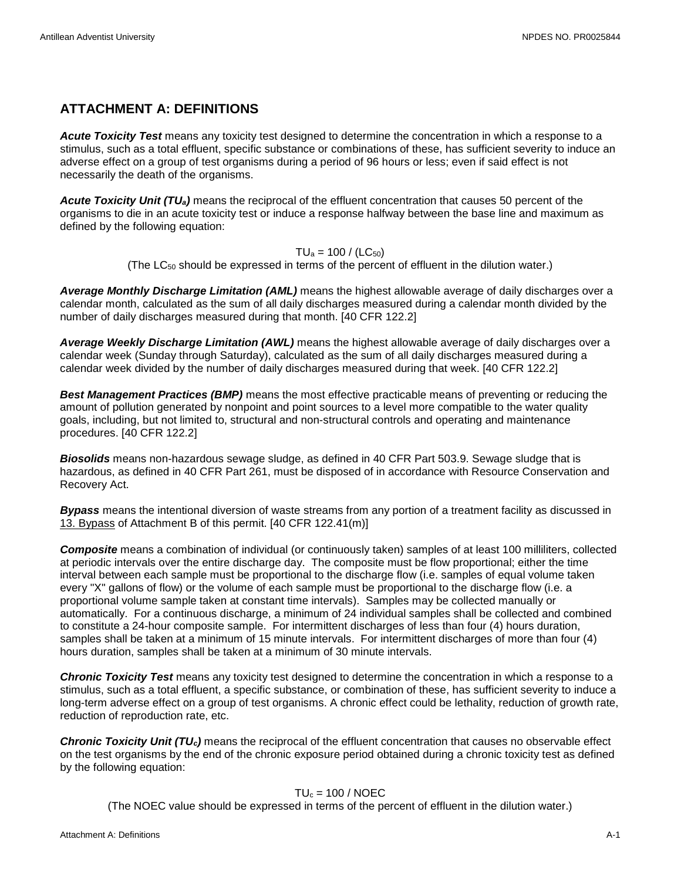# <span id="page-13-0"></span>**ATTACHMENT A: DEFINITIONS**

*Acute Toxicity Test* means any toxicity test designed to determine the concentration in which a response to a stimulus, such as a total effluent, specific substance or combinations of these, has sufficient severity to induce an adverse effect on a group of test organisms during a period of 96 hours or less; even if said effect is not necessarily the death of the organisms.

*Acute Toxicity Unit (TUa)* means the reciprocal of the effluent concentration that causes 50 percent of the organisms to die in an acute toxicity test or induce a response halfway between the base line and maximum as defined by the following equation:

$$
TU_a = 100 / (LC_{50})
$$

(The  $LC_{50}$  should be expressed in terms of the percent of effluent in the dilution water.)

*Average Monthly Discharge Limitation (AML)* means the highest allowable average of daily discharges over a calendar month, calculated as the sum of all daily discharges measured during a calendar month divided by the number of daily discharges measured during that month. [40 CFR 122.2]

*Average Weekly Discharge Limitation (AWL)* means the highest allowable average of daily discharges over a calendar week (Sunday through Saturday), calculated as the sum of all daily discharges measured during a calendar week divided by the number of daily discharges measured during that week. [40 CFR 122.2]

*Best Management Practices (BMP)* means the most effective practicable means of preventing or reducing the amount of pollution generated by nonpoint and point sources to a level more compatible to the water quality goals, including, but not limited to, structural and non-structural controls and operating and maintenance procedures. [40 CFR 122.2]

*Biosolids* means non-hazardous sewage sludge, as defined in 40 CFR Part 503.9. Sewage sludge that is hazardous, as defined in 40 CFR Part 261, must be disposed of in accordance with Resource Conservation and Recovery Act.

*Bypass* means the intentional diversion of waste streams from any portion of a treatment facility as discussed in 13. Bypass of Attachment B of this permit. [40 CFR 122.41(m)]

*Composite* means a combination of individual (or continuously taken) samples of at least 100 milliliters, collected at periodic intervals over the entire discharge day. The composite must be flow proportional; either the time interval between each sample must be proportional to the discharge flow (i.e. samples of equal volume taken every "X" gallons of flow) or the volume of each sample must be proportional to the discharge flow (i.e. a proportional volume sample taken at constant time intervals). Samples may be collected manually or automatically. For a continuous discharge, a minimum of 24 individual samples shall be collected and combined to constitute a 24-hour composite sample. For intermittent discharges of less than four (4) hours duration, samples shall be taken at a minimum of 15 minute intervals. For intermittent discharges of more than four (4) hours duration, samples shall be taken at a minimum of 30 minute intervals.

*Chronic Toxicity Test* means any toxicity test designed to determine the concentration in which a response to a stimulus, such as a total effluent, a specific substance, or combination of these, has sufficient severity to induce a long-term adverse effect on a group of test organisms. A chronic effect could be lethality, reduction of growth rate, reduction of reproduction rate, etc.

*Chronic Toxicity Unit (TUc)* means the reciprocal of the effluent concentration that causes no observable effect on the test organisms by the end of the chronic exposure period obtained during a chronic toxicity test as defined by the following equation:

## $TU_c = 100 / NOEC$

(The NOEC value should be expressed in terms of the percent of effluent in the dilution water.)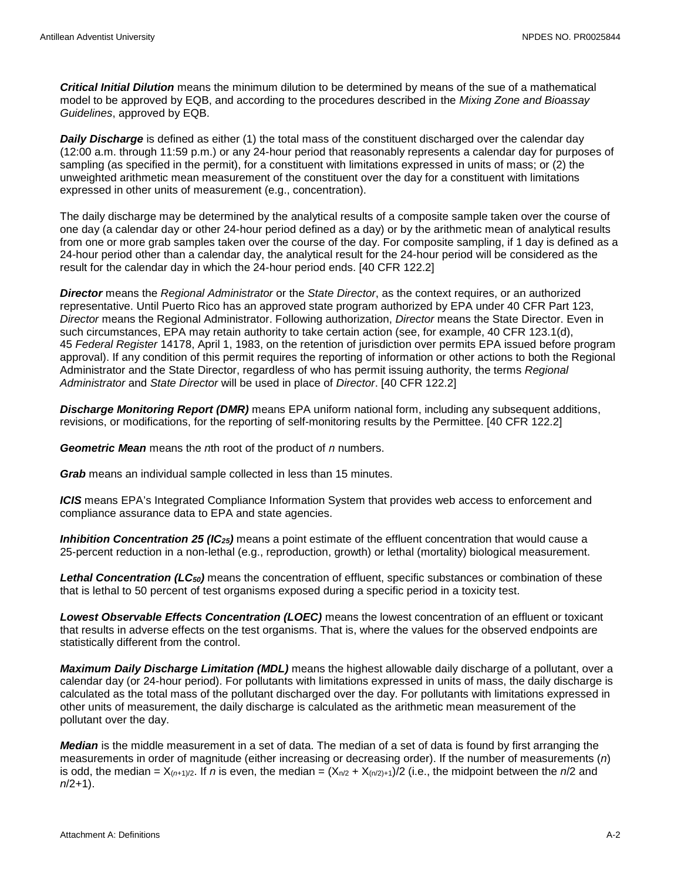*Critical Initial Dilution* means the minimum dilution to be determined by means of the sue of a mathematical model to be approved by EQB, and according to the procedures described in the *Mixing Zone and Bioassay Guidelines*, approved by EQB.

**Daily Discharge** is defined as either (1) the total mass of the constituent discharged over the calendar day (12:00 a.m. through 11:59 p.m.) or any 24-hour period that reasonably represents a calendar day for purposes of sampling (as specified in the permit), for a constituent with limitations expressed in units of mass; or (2) the unweighted arithmetic mean measurement of the constituent over the day for a constituent with limitations expressed in other units of measurement (e.g., concentration).

The daily discharge may be determined by the analytical results of a composite sample taken over the course of one day (a calendar day or other 24-hour period defined as a day) or by the arithmetic mean of analytical results from one or more grab samples taken over the course of the day. For composite sampling, if 1 day is defined as a 24-hour period other than a calendar day, the analytical result for the 24-hour period will be considered as the result for the calendar day in which the 24-hour period ends. [40 CFR 122.2]

*Director* means the *Regional Administrator* or the *State Director*, as the context requires, or an authorized representative. Until Puerto Rico has an approved state program authorized by EPA under 40 CFR Part 123, *Director* means the Regional Administrator. Following authorization, *Director* means the State Director. Even in such circumstances, EPA may retain authority to take certain action (see, for example, 40 CFR 123.1(d), 45 *Federal Register* 14178, April 1, 1983, on the retention of jurisdiction over permits EPA issued before program approval). If any condition of this permit requires the reporting of information or other actions to both the Regional Administrator and the State Director, regardless of who has permit issuing authority, the terms *Regional Administrator* and *State Director* will be used in place of *Director*. [40 CFR 122.2]

*Discharge Monitoring Report (DMR)* means EPA uniform national form, including any subsequent additions, revisions, or modifications, for the reporting of self-monitoring results by the Permittee. [40 CFR 122.2]

*Geometric Mean* means the *n*th root of the product of *n* numbers.

*Grab* means an individual sample collected in less than 15 minutes.

*ICIS* means EPA's Integrated Compliance Information System that provides web access to enforcement and compliance assurance data to EPA and state agencies.

*Inhibition Concentration 25 (IC25)* means a point estimate of the effluent concentration that would cause a 25-percent reduction in a non-lethal (e.g., reproduction, growth) or lethal (mortality) biological measurement.

*Lethal Concentration (LC50)* means the concentration of effluent, specific substances or combination of these that is lethal to 50 percent of test organisms exposed during a specific period in a toxicity test.

*Lowest Observable Effects Concentration (LOEC)* means the lowest concentration of an effluent or toxicant that results in adverse effects on the test organisms. That is, where the values for the observed endpoints are statistically different from the control.

*Maximum Daily Discharge Limitation (MDL)* means the highest allowable daily discharge of a pollutant, over a calendar day (or 24-hour period). For pollutants with limitations expressed in units of mass, the daily discharge is calculated as the total mass of the pollutant discharged over the day. For pollutants with limitations expressed in other units of measurement, the daily discharge is calculated as the arithmetic mean measurement of the pollutant over the day.

*Median* is the middle measurement in a set of data. The median of a set of data is found by first arranging the measurements in order of magnitude (either increasing or decreasing order). If the number of measurements (*n*) is odd, the median =  $X_{(n+1)/2}$ . If *n* is even, the median =  $(X_{n/2} + X_{(n/2)+1})/2$  (i.e., the midpoint between the *n*/2 and *n*/2+1).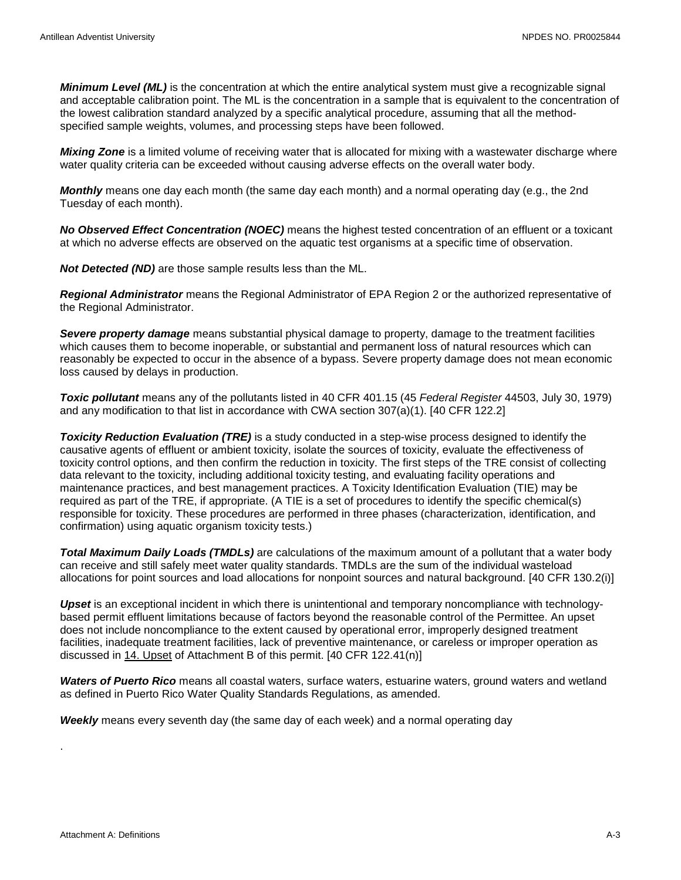*Minimum Level (ML)* is the concentration at which the entire analytical system must give a recognizable signal and acceptable calibration point. The ML is the concentration in a sample that is equivalent to the concentration of the lowest calibration standard analyzed by a specific analytical procedure, assuming that all the methodspecified sample weights, volumes, and processing steps have been followed.

*Mixing Zone* is a limited volume of receiving water that is allocated for mixing with a wastewater discharge where water quality criteria can be exceeded without causing adverse effects on the overall water body.

*Monthly* means one day each month (the same day each month) and a normal operating day (e.g., the 2nd Tuesday of each month).

*No Observed Effect Concentration (NOEC)* means the highest tested concentration of an effluent or a toxicant at which no adverse effects are observed on the aquatic test organisms at a specific time of observation.

*Not Detected (ND)* are those sample results less than the ML.

*Regional Administrator* means the Regional Administrator of EPA Region 2 or the authorized representative of the Regional Administrator.

*Severe property damage* means substantial physical damage to property, damage to the treatment facilities which causes them to become inoperable, or substantial and permanent loss of natural resources which can reasonably be expected to occur in the absence of a bypass. Severe property damage does not mean economic loss caused by delays in production.

*Toxic pollutant* means any of the pollutants listed in 40 CFR 401.15 (45 *Federal Register* 44503, July 30, 1979) and any modification to that list in accordance with CWA section 307(a)(1). [40 CFR 122.2]

*Toxicity Reduction Evaluation (TRE)* is a study conducted in a step-wise process designed to identify the causative agents of effluent or ambient toxicity, isolate the sources of toxicity, evaluate the effectiveness of toxicity control options, and then confirm the reduction in toxicity. The first steps of the TRE consist of collecting data relevant to the toxicity, including additional toxicity testing, and evaluating facility operations and maintenance practices, and best management practices. A Toxicity Identification Evaluation (TIE) may be required as part of the TRE, if appropriate. (A TIE is a set of procedures to identify the specific chemical(s) responsible for toxicity. These procedures are performed in three phases (characterization, identification, and confirmation) using aquatic organism toxicity tests.)

*Total Maximum Daily Loads (TMDLs)* are calculations of the maximum amount of a pollutant that a water body can receive and still safely meet water quality standards. TMDLs are the sum of the individual wasteload allocations for point sources and load allocations for nonpoint sources and natural background. [40 CFR 130.2(i)]

*Upset* is an exceptional incident in which there is unintentional and temporary noncompliance with technologybased permit effluent limitations because of factors beyond the reasonable control of the Permittee. An upset does not include noncompliance to the extent caused by operational error, improperly designed treatment facilities, inadequate treatment facilities, lack of preventive maintenance, or careless or improper operation as discussed in 14. Upset of Attachment B of this permit. [40 CFR 122.41(n)]

*Waters of Puerto Rico* means all coastal waters, surface waters, estuarine waters, ground waters and wetland as defined in Puerto Rico Water Quality Standards Regulations, as amended.

*Weekly* means every seventh day (the same day of each week) and a normal operating day

.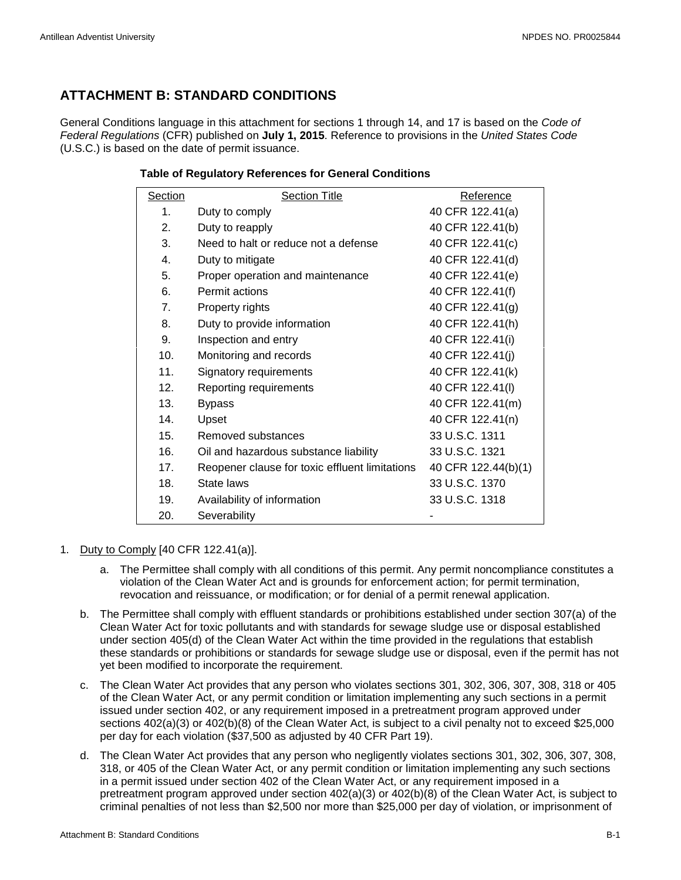# <span id="page-16-0"></span>**ATTACHMENT B: STANDARD CONDITIONS**

General Conditions language in this attachment for sections 1 through 14, and 17 is based on the *Code of Federal Regulations* (CFR) published on **July 1, 2015**. Reference to provisions in the *United States Code* (U.S.C.) is based on the date of permit issuance.

#### **Table of Regulatory References for General Conditions**

| Section         | <b>Section Title</b>                           | Reference           |
|-----------------|------------------------------------------------|---------------------|
| 1.              | Duty to comply                                 | 40 CFR 122.41(a)    |
| 2.              | Duty to reapply                                | 40 CFR 122.41(b)    |
| 3.              | Need to halt or reduce not a defense           | 40 CFR 122.41(c)    |
| 4.              | Duty to mitigate                               | 40 CFR 122.41(d)    |
| 5.              | Proper operation and maintenance               | 40 CFR 122.41(e)    |
| 6.              | Permit actions                                 | 40 CFR 122.41(f)    |
| 7.              | Property rights                                | 40 CFR 122.41(g)    |
| 8.              | Duty to provide information                    | 40 CFR 122.41(h)    |
| 9.              | Inspection and entry                           | 40 CFR 122.41(i)    |
| 10.             | Monitoring and records                         | 40 CFR 122.41(j)    |
| 11.             | Signatory requirements                         | 40 CFR 122.41(k)    |
| 12.             | Reporting requirements                         | 40 CFR 122.41(I)    |
| 13.             | <b>Bypass</b>                                  | 40 CFR 122.41(m)    |
| 14.             | Upset                                          | 40 CFR 122.41(n)    |
| 15.             | Removed substances                             | 33 U.S.C. 1311      |
| 16.             | Oil and hazardous substance liability          | 33 U.S.C. 1321      |
| 17 <sub>1</sub> | Reopener clause for toxic effluent limitations | 40 CFR 122.44(b)(1) |
| 18.             | State laws                                     | 33 U.S.C. 1370      |
| 19.             | Availability of information                    | 33 U.S.C. 1318      |
| 20.             | Severability                                   |                     |

#### 1. Duty to Comply [40 CFR 122.41(a)].

- a. The Permittee shall comply with all conditions of this permit. Any permit noncompliance constitutes a violation of the Clean Water Act and is grounds for enforcement action; for permit termination, revocation and reissuance, or modification; or for denial of a permit renewal application.
- b. The Permittee shall comply with effluent standards or prohibitions established under section 307(a) of the Clean Water Act for toxic pollutants and with standards for sewage sludge use or disposal established under section 405(d) of the Clean Water Act within the time provided in the regulations that establish these standards or prohibitions or standards for sewage sludge use or disposal, even if the permit has not yet been modified to incorporate the requirement.
- c. The Clean Water Act provides that any person who violates sections 301, 302, 306, 307, 308, 318 or 405 of the Clean Water Act, or any permit condition or limitation implementing any such sections in a permit issued under section 402, or any requirement imposed in a pretreatment program approved under sections  $402(a)(3)$  or  $402(b)(8)$  of the Clean Water Act, is subject to a civil penalty not to exceed \$25,000 per day for each violation (\$37,500 as adjusted by 40 CFR Part 19).
- d. The Clean Water Act provides that any person who negligently violates sections 301, 302, 306, 307, 308, 318, or 405 of the Clean Water Act, or any permit condition or limitation implementing any such sections in a permit issued under section 402 of the Clean Water Act, or any requirement imposed in a pretreatment program approved under section 402(a)(3) or 402(b)(8) of the Clean Water Act, is subject to criminal penalties of not less than \$2,500 nor more than \$25,000 per day of violation, or imprisonment of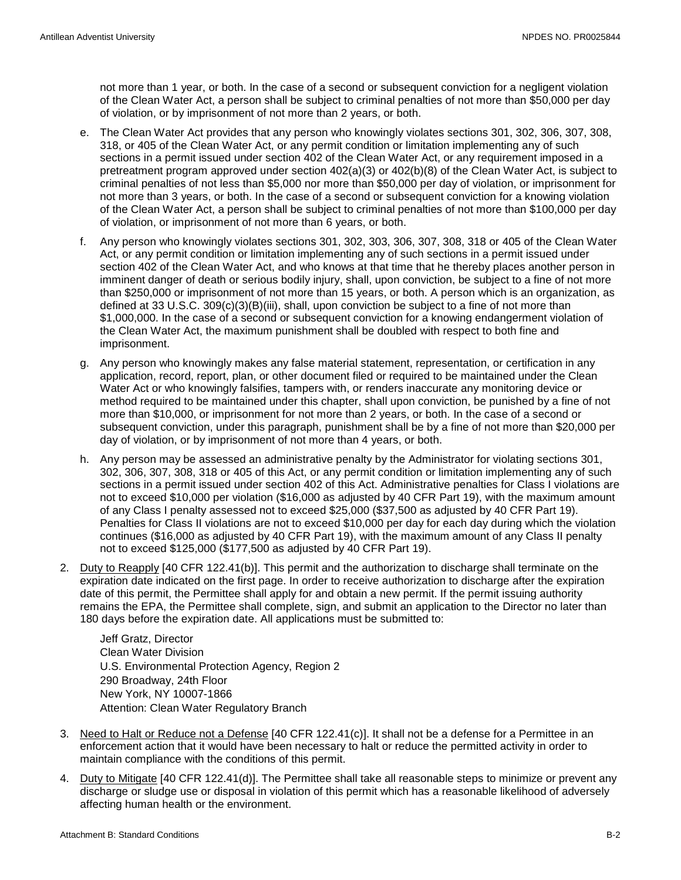not more than 1 year, or both. In the case of a second or subsequent conviction for a negligent violation of the Clean Water Act, a person shall be subject to criminal penalties of not more than \$50,000 per day of violation, or by imprisonment of not more than 2 years, or both.

- e. The Clean Water Act provides that any person who knowingly violates sections 301, 302, 306, 307, 308, 318, or 405 of the Clean Water Act, or any permit condition or limitation implementing any of such sections in a permit issued under section 402 of the Clean Water Act, or any requirement imposed in a pretreatment program approved under section 402(a)(3) or 402(b)(8) of the Clean Water Act, is subject to criminal penalties of not less than \$5,000 nor more than \$50,000 per day of violation, or imprisonment for not more than 3 years, or both. In the case of a second or subsequent conviction for a knowing violation of the Clean Water Act, a person shall be subject to criminal penalties of not more than \$100,000 per day of violation, or imprisonment of not more than 6 years, or both.
- f. Any person who knowingly violates sections 301, 302, 303, 306, 307, 308, 318 or 405 of the Clean Water Act, or any permit condition or limitation implementing any of such sections in a permit issued under section 402 of the Clean Water Act, and who knows at that time that he thereby places another person in imminent danger of death or serious bodily injury, shall, upon conviction, be subject to a fine of not more than \$250,000 or imprisonment of not more than 15 years, or both. A person which is an organization, as defined at 33 U.S.C. 309(c)(3)(B)(iii), shall, upon conviction be subject to a fine of not more than \$1,000,000. In the case of a second or subsequent conviction for a knowing endangerment violation of the Clean Water Act, the maximum punishment shall be doubled with respect to both fine and imprisonment.
- g. Any person who knowingly makes any false material statement, representation, or certification in any application, record, report, plan, or other document filed or required to be maintained under the Clean Water Act or who knowingly falsifies, tampers with, or renders inaccurate any monitoring device or method required to be maintained under this chapter, shall upon conviction, be punished by a fine of not more than \$10,000, or imprisonment for not more than 2 years, or both. In the case of a second or subsequent conviction, under this paragraph, punishment shall be by a fine of not more than \$20,000 per day of violation, or by imprisonment of not more than 4 years, or both.
- h. Any person may be assessed an administrative penalty by the Administrator for violating sections 301, 302, 306, 307, 308, 318 or 405 of this Act, or any permit condition or limitation implementing any of such sections in a permit issued under section 402 of this Act. Administrative penalties for Class I violations are not to exceed \$10,000 per violation (\$16,000 as adjusted by 40 CFR Part 19), with the maximum amount of any Class I penalty assessed not to exceed \$25,000 (\$37,500 as adjusted by 40 CFR Part 19). Penalties for Class II violations are not to exceed \$10,000 per day for each day during which the violation continues (\$16,000 as adjusted by 40 CFR Part 19), with the maximum amount of any Class II penalty not to exceed \$125,000 (\$177,500 as adjusted by 40 CFR Part 19).
- 2. Duty to Reapply [40 CFR 122.41(b)]. This permit and the authorization to discharge shall terminate on the expiration date indicated on the first page. In order to receive authorization to discharge after the expiration date of this permit, the Permittee shall apply for and obtain a new permit. If the permit issuing authority remains the EPA, the Permittee shall complete, sign, and submit an application to the Director no later than 180 days before the expiration date. All applications must be submitted to:

Jeff Gratz, Director Clean Water Division U.S. Environmental Protection Agency, Region 2 290 Broadway, 24th Floor New York, NY 10007-1866 Attention: Clean Water Regulatory Branch

- 3. Need to Halt or Reduce not a Defense [40 CFR 122.41(c)]. It shall not be a defense for a Permittee in an enforcement action that it would have been necessary to halt or reduce the permitted activity in order to maintain compliance with the conditions of this permit.
- 4. Duty to Mitigate [40 CFR 122.41(d)]. The Permittee shall take all reasonable steps to minimize or prevent any discharge or sludge use or disposal in violation of this permit which has a reasonable likelihood of adversely affecting human health or the environment.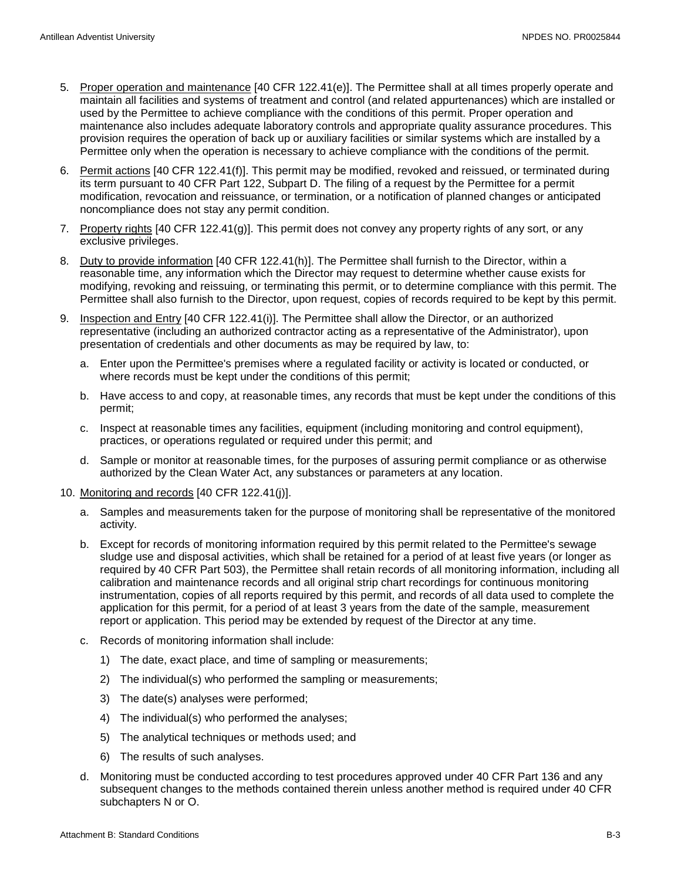- 5. Proper operation and maintenance [40 CFR 122.41(e)]. The Permittee shall at all times properly operate and maintain all facilities and systems of treatment and control (and related appurtenances) which are installed or used by the Permittee to achieve compliance with the conditions of this permit. Proper operation and maintenance also includes adequate laboratory controls and appropriate quality assurance procedures. This provision requires the operation of back up or auxiliary facilities or similar systems which are installed by a Permittee only when the operation is necessary to achieve compliance with the conditions of the permit.
- 6. Permit actions [40 CFR 122.41(f)]. This permit may be modified, revoked and reissued, or terminated during its term pursuant to 40 CFR Part 122, Subpart D. The filing of a request by the Permittee for a permit modification, revocation and reissuance, or termination, or a notification of planned changes or anticipated noncompliance does not stay any permit condition.
- 7. Property rights [40 CFR 122.41(g)]. This permit does not convey any property rights of any sort, or any exclusive privileges.
- 8. Duty to provide information [40 CFR 122.41(h)]. The Permittee shall furnish to the Director, within a reasonable time, any information which the Director may request to determine whether cause exists for modifying, revoking and reissuing, or terminating this permit, or to determine compliance with this permit. The Permittee shall also furnish to the Director, upon request, copies of records required to be kept by this permit.
- 9. Inspection and Entry [40 CFR 122.41(i)]. The Permittee shall allow the Director, or an authorized representative (including an authorized contractor acting as a representative of the Administrator), upon presentation of credentials and other documents as may be required by law, to:
	- a. Enter upon the Permittee's premises where a regulated facility or activity is located or conducted, or where records must be kept under the conditions of this permit;
	- b. Have access to and copy, at reasonable times, any records that must be kept under the conditions of this permit;
	- c. Inspect at reasonable times any facilities, equipment (including monitoring and control equipment), practices, or operations regulated or required under this permit; and
	- d. Sample or monitor at reasonable times, for the purposes of assuring permit compliance or as otherwise authorized by the Clean Water Act, any substances or parameters at any location.
- 10. Monitoring and records [40 CFR 122.41(j)].
	- a. Samples and measurements taken for the purpose of monitoring shall be representative of the monitored activity.
	- b. Except for records of monitoring information required by this permit related to the Permittee's sewage sludge use and disposal activities, which shall be retained for a period of at least five years (or longer as required by 40 CFR Part 503), the Permittee shall retain records of all monitoring information, including all calibration and maintenance records and all original strip chart recordings for continuous monitoring instrumentation, copies of all reports required by this permit, and records of all data used to complete the application for this permit, for a period of at least 3 years from the date of the sample, measurement report or application. This period may be extended by request of the Director at any time.
	- c. Records of monitoring information shall include:
		- 1) The date, exact place, and time of sampling or measurements;
		- 2) The individual(s) who performed the sampling or measurements;
		- 3) The date(s) analyses were performed;
		- 4) The individual(s) who performed the analyses;
		- 5) The analytical techniques or methods used; and
		- 6) The results of such analyses.
	- d. Monitoring must be conducted according to test procedures approved under 40 CFR Part 136 and any subsequent changes to the methods contained therein unless another method is required under 40 CFR subchapters N or O.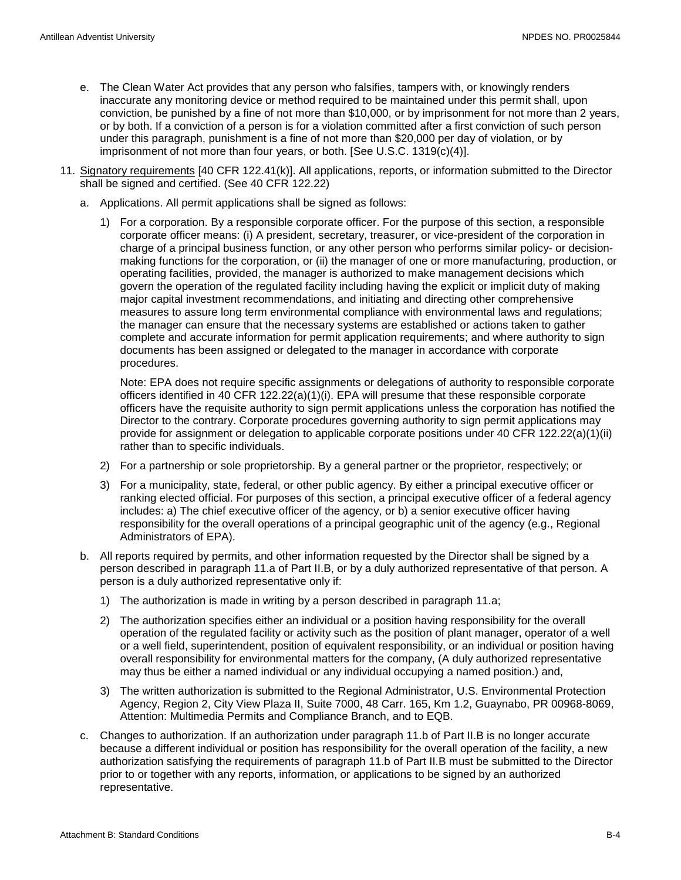- e. The Clean Water Act provides that any person who falsifies, tampers with, or knowingly renders inaccurate any monitoring device or method required to be maintained under this permit shall, upon conviction, be punished by a fine of not more than \$10,000, or by imprisonment for not more than 2 years, or by both. If a conviction of a person is for a violation committed after a first conviction of such person under this paragraph, punishment is a fine of not more than \$20,000 per day of violation, or by imprisonment of not more than four years, or both. [See U.S.C. 1319(c)(4)].
- 11. Signatory requirements [40 CFR 122.41(k)]. All applications, reports, or information submitted to the Director shall be signed and certified. (See 40 CFR 122.22)
	- a. Applications. All permit applications shall be signed as follows:
		- 1) For a corporation. By a responsible corporate officer. For the purpose of this section, a responsible corporate officer means: (i) A president, secretary, treasurer, or vice-president of the corporation in charge of a principal business function, or any other person who performs similar policy- or decisionmaking functions for the corporation, or (ii) the manager of one or more manufacturing, production, or operating facilities, provided, the manager is authorized to make management decisions which govern the operation of the regulated facility including having the explicit or implicit duty of making major capital investment recommendations, and initiating and directing other comprehensive measures to assure long term environmental compliance with environmental laws and regulations; the manager can ensure that the necessary systems are established or actions taken to gather complete and accurate information for permit application requirements; and where authority to sign documents has been assigned or delegated to the manager in accordance with corporate procedures.

Note: EPA does not require specific assignments or delegations of authority to responsible corporate officers identified in 40 CFR 122.22(a)(1)(i). EPA will presume that these responsible corporate officers have the requisite authority to sign permit applications unless the corporation has notified the Director to the contrary. Corporate procedures governing authority to sign permit applications may provide for assignment or delegation to applicable corporate positions under 40 CFR 122.22(a)(1)(ii) rather than to specific individuals.

- 2) For a partnership or sole proprietorship. By a general partner or the proprietor, respectively; or
- 3) For a municipality, state, federal, or other public agency. By either a principal executive officer or ranking elected official. For purposes of this section, a principal executive officer of a federal agency includes: a) The chief executive officer of the agency, or b) a senior executive officer having responsibility for the overall operations of a principal geographic unit of the agency (e.g., Regional Administrators of EPA).
- b. All reports required by permits, and other information requested by the Director shall be signed by a person described in paragraph 11.a of Part II.B, or by a duly authorized representative of that person. A person is a duly authorized representative only if:
	- 1) The authorization is made in writing by a person described in paragraph 11.a;
	- 2) The authorization specifies either an individual or a position having responsibility for the overall operation of the regulated facility or activity such as the position of plant manager, operator of a well or a well field, superintendent, position of equivalent responsibility, or an individual or position having overall responsibility for environmental matters for the company, (A duly authorized representative may thus be either a named individual or any individual occupying a named position.) and,
	- 3) The written authorization is submitted to the Regional Administrator, U.S. Environmental Protection Agency, Region 2, City View Plaza II, Suite 7000, 48 Carr. 165, Km 1.2, Guaynabo, PR 00968-8069, Attention: Multimedia Permits and Compliance Branch, and to EQB.
- c. Changes to authorization. If an authorization under paragraph 11.b of Part II.B is no longer accurate because a different individual or position has responsibility for the overall operation of the facility, a new authorization satisfying the requirements of paragraph 11.b of Part II.B must be submitted to the Director prior to or together with any reports, information, or applications to be signed by an authorized representative.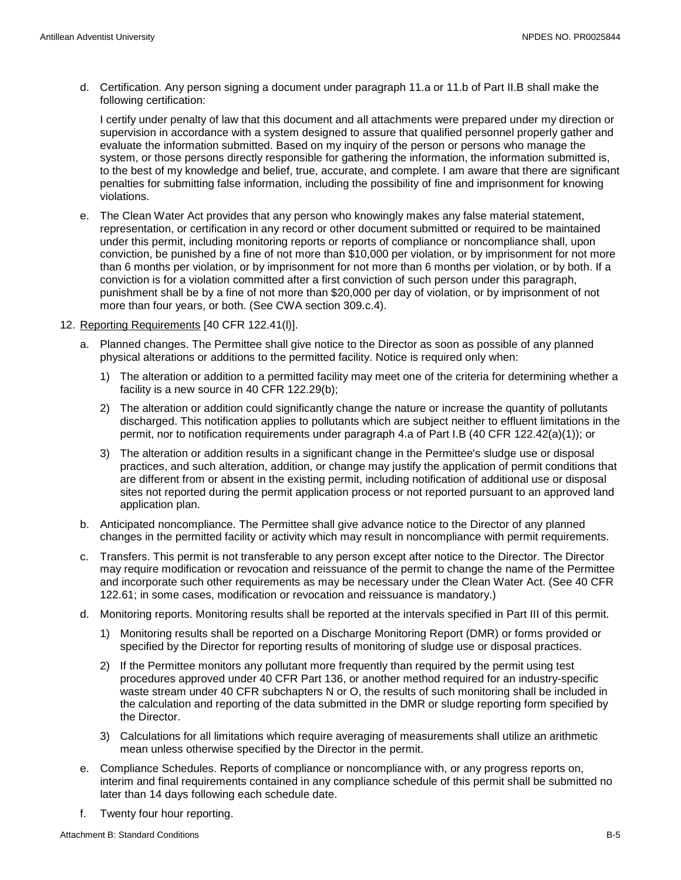d. Certification. Any person signing a document under paragraph 11.a or 11.b of Part II.B shall make the following certification:

I certify under penalty of law that this document and all attachments were prepared under my direction or supervision in accordance with a system designed to assure that qualified personnel properly gather and evaluate the information submitted. Based on my inquiry of the person or persons who manage the system, or those persons directly responsible for gathering the information, the information submitted is, to the best of my knowledge and belief, true, accurate, and complete. I am aware that there are significant penalties for submitting false information, including the possibility of fine and imprisonment for knowing violations.

- e. The Clean Water Act provides that any person who knowingly makes any false material statement, representation, or certification in any record or other document submitted or required to be maintained under this permit, including monitoring reports or reports of compliance or noncompliance shall, upon conviction, be punished by a fine of not more than \$10,000 per violation, or by imprisonment for not more than 6 months per violation, or by imprisonment for not more than 6 months per violation, or by both. If a conviction is for a violation committed after a first conviction of such person under this paragraph, punishment shall be by a fine of not more than \$20,000 per day of violation, or by imprisonment of not more than four years, or both. (See CWA section 309.c.4).
- 12. Reporting Requirements [40 CFR 122.41(l)].
	- a. Planned changes. The Permittee shall give notice to the Director as soon as possible of any planned physical alterations or additions to the permitted facility. Notice is required only when:
		- 1) The alteration or addition to a permitted facility may meet one of the criteria for determining whether a facility is a new source in 40 CFR 122.29(b);
		- 2) The alteration or addition could significantly change the nature or increase the quantity of pollutants discharged. This notification applies to pollutants which are subject neither to effluent limitations in the permit, nor to notification requirements under paragraph 4.a of Part I.B (40 CFR 122.42(a)(1)); or
		- 3) The alteration or addition results in a significant change in the Permittee's sludge use or disposal practices, and such alteration, addition, or change may justify the application of permit conditions that are different from or absent in the existing permit, including notification of additional use or disposal sites not reported during the permit application process or not reported pursuant to an approved land application plan.
	- b. Anticipated noncompliance. The Permittee shall give advance notice to the Director of any planned changes in the permitted facility or activity which may result in noncompliance with permit requirements.
	- c. Transfers. This permit is not transferable to any person except after notice to the Director. The Director may require modification or revocation and reissuance of the permit to change the name of the Permittee and incorporate such other requirements as may be necessary under the Clean Water Act. (See 40 CFR 122.61; in some cases, modification or revocation and reissuance is mandatory.)
	- d. Monitoring reports. Monitoring results shall be reported at the intervals specified in Part III of this permit.
		- 1) Monitoring results shall be reported on a Discharge Monitoring Report (DMR) or forms provided or specified by the Director for reporting results of monitoring of sludge use or disposal practices.
		- 2) If the Permittee monitors any pollutant more frequently than required by the permit using test procedures approved under 40 CFR Part 136, or another method required for an industry-specific waste stream under 40 CFR subchapters N or O, the results of such monitoring shall be included in the calculation and reporting of the data submitted in the DMR or sludge reporting form specified by the Director.
		- 3) Calculations for all limitations which require averaging of measurements shall utilize an arithmetic mean unless otherwise specified by the Director in the permit.
	- e. Compliance Schedules. Reports of compliance or noncompliance with, or any progress reports on, interim and final requirements contained in any compliance schedule of this permit shall be submitted no later than 14 days following each schedule date.
	- f. Twenty four hour reporting.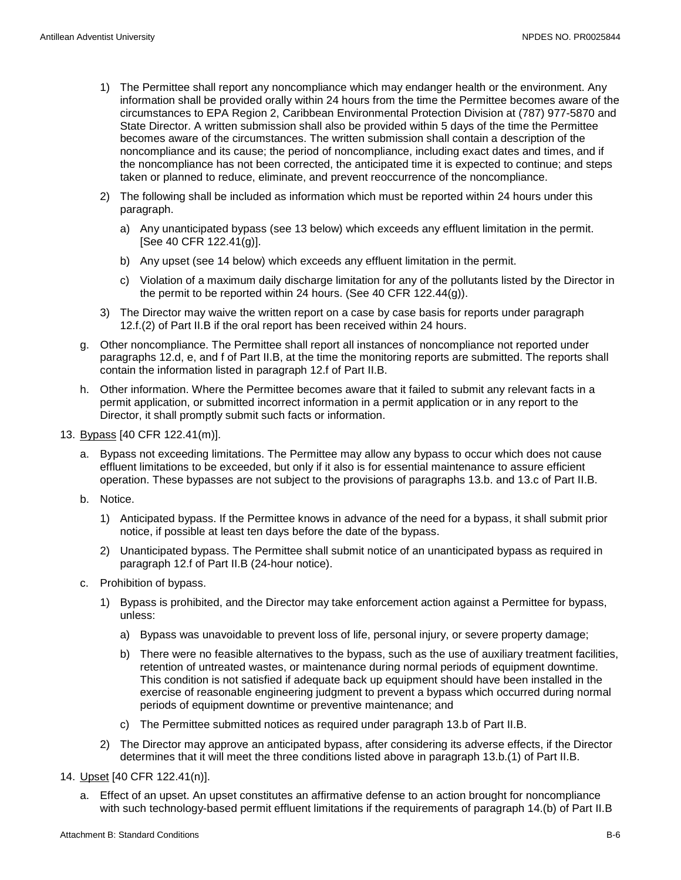- 1) The Permittee shall report any noncompliance which may endanger health or the environment. Any information shall be provided orally within 24 hours from the time the Permittee becomes aware of the circumstances to EPA Region 2, Caribbean Environmental Protection Division at (787) 977-5870 and State Director. A written submission shall also be provided within 5 days of the time the Permittee becomes aware of the circumstances. The written submission shall contain a description of the noncompliance and its cause; the period of noncompliance, including exact dates and times, and if the noncompliance has not been corrected, the anticipated time it is expected to continue; and steps taken or planned to reduce, eliminate, and prevent reoccurrence of the noncompliance.
- 2) The following shall be included as information which must be reported within 24 hours under this paragraph.
	- a) Any unanticipated bypass (see 13 below) which exceeds any effluent limitation in the permit. [See 40 CFR 122.41(g)].
	- b) Any upset (see 14 below) which exceeds any effluent limitation in the permit.
	- c) Violation of a maximum daily discharge limitation for any of the pollutants listed by the Director in the permit to be reported within 24 hours. (See 40 CFR 122.44(g)).
- 3) The Director may waive the written report on a case by case basis for reports under paragraph 12.f.(2) of Part II.B if the oral report has been received within 24 hours.
- g. Other noncompliance. The Permittee shall report all instances of noncompliance not reported under paragraphs 12.d, e, and f of Part II.B, at the time the monitoring reports are submitted. The reports shall contain the information listed in paragraph 12.f of Part II.B.
- h. Other information. Where the Permittee becomes aware that it failed to submit any relevant facts in a permit application, or submitted incorrect information in a permit application or in any report to the Director, it shall promptly submit such facts or information.
- 13. Bypass [40 CFR 122.41(m)].
	- a. Bypass not exceeding limitations. The Permittee may allow any bypass to occur which does not cause effluent limitations to be exceeded, but only if it also is for essential maintenance to assure efficient operation. These bypasses are not subject to the provisions of paragraphs 13.b. and 13.c of Part II.B.
	- b. Notice.
		- 1) Anticipated bypass. If the Permittee knows in advance of the need for a bypass, it shall submit prior notice, if possible at least ten days before the date of the bypass.
		- 2) Unanticipated bypass. The Permittee shall submit notice of an unanticipated bypass as required in paragraph 12.f of Part II.B (24-hour notice).
	- c. Prohibition of bypass.
		- 1) Bypass is prohibited, and the Director may take enforcement action against a Permittee for bypass, unless:
			- a) Bypass was unavoidable to prevent loss of life, personal injury, or severe property damage;
			- b) There were no feasible alternatives to the bypass, such as the use of auxiliary treatment facilities, retention of untreated wastes, or maintenance during normal periods of equipment downtime. This condition is not satisfied if adequate back up equipment should have been installed in the exercise of reasonable engineering judgment to prevent a bypass which occurred during normal periods of equipment downtime or preventive maintenance; and
			- c) The Permittee submitted notices as required under paragraph 13.b of Part II.B.
		- 2) The Director may approve an anticipated bypass, after considering its adverse effects, if the Director determines that it will meet the three conditions listed above in paragraph 13.b.(1) of Part II.B.
- 14. Upset [40 CFR 122.41(n)].
	- a. Effect of an upset. An upset constitutes an affirmative defense to an action brought for noncompliance with such technology-based permit effluent limitations if the requirements of paragraph 14.(b) of Part II.B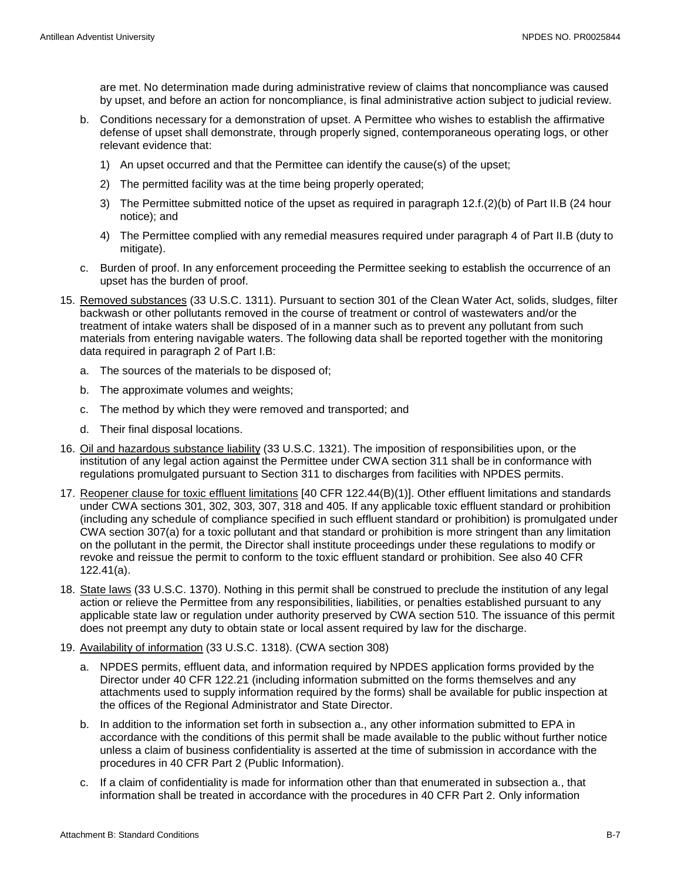are met. No determination made during administrative review of claims that noncompliance was caused by upset, and before an action for noncompliance, is final administrative action subject to judicial review.

- b. Conditions necessary for a demonstration of upset. A Permittee who wishes to establish the affirmative defense of upset shall demonstrate, through properly signed, contemporaneous operating logs, or other relevant evidence that:
	- 1) An upset occurred and that the Permittee can identify the cause(s) of the upset;
	- 2) The permitted facility was at the time being properly operated;
	- 3) The Permittee submitted notice of the upset as required in paragraph 12.f.(2)(b) of Part II.B (24 hour notice); and
	- 4) The Permittee complied with any remedial measures required under paragraph 4 of Part II.B (duty to mitigate).
- c. Burden of proof. In any enforcement proceeding the Permittee seeking to establish the occurrence of an upset has the burden of proof.
- 15. Removed substances (33 U.S.C. 1311). Pursuant to section 301 of the Clean Water Act, solids, sludges, filter backwash or other pollutants removed in the course of treatment or control of wastewaters and/or the treatment of intake waters shall be disposed of in a manner such as to prevent any pollutant from such materials from entering navigable waters. The following data shall be reported together with the monitoring data required in paragraph 2 of Part I.B:
	- a. The sources of the materials to be disposed of;
	- b. The approximate volumes and weights;
	- c. The method by which they were removed and transported; and
	- d. Their final disposal locations.
- 16. Oil and hazardous substance liability (33 U.S.C. 1321). The imposition of responsibilities upon, or the institution of any legal action against the Permittee under CWA section 311 shall be in conformance with regulations promulgated pursuant to Section 311 to discharges from facilities with NPDES permits.
- 17. Reopener clause for toxic effluent limitations [40 CFR 122.44(B)(1)]. Other effluent limitations and standards under CWA sections 301, 302, 303, 307, 318 and 405. If any applicable toxic effluent standard or prohibition (including any schedule of compliance specified in such effluent standard or prohibition) is promulgated under CWA section 307(a) for a toxic pollutant and that standard or prohibition is more stringent than any limitation on the pollutant in the permit, the Director shall institute proceedings under these regulations to modify or revoke and reissue the permit to conform to the toxic effluent standard or prohibition. See also 40 CFR 122.41(a).
- 18. State laws (33 U.S.C. 1370). Nothing in this permit shall be construed to preclude the institution of any legal action or relieve the Permittee from any responsibilities, liabilities, or penalties established pursuant to any applicable state law or regulation under authority preserved by CWA section 510. The issuance of this permit does not preempt any duty to obtain state or local assent required by law for the discharge.
- 19. Availability of information (33 U.S.C. 1318). (CWA section 308)
	- a. NPDES permits, effluent data, and information required by NPDES application forms provided by the Director under 40 CFR 122.21 (including information submitted on the forms themselves and any attachments used to supply information required by the forms) shall be available for public inspection at the offices of the Regional Administrator and State Director.
	- b. In addition to the information set forth in subsection a., any other information submitted to EPA in accordance with the conditions of this permit shall be made available to the public without further notice unless a claim of business confidentiality is asserted at the time of submission in accordance with the procedures in 40 CFR Part 2 (Public Information).
	- c. If a claim of confidentiality is made for information other than that enumerated in subsection a., that information shall be treated in accordance with the procedures in 40 CFR Part 2. Only information